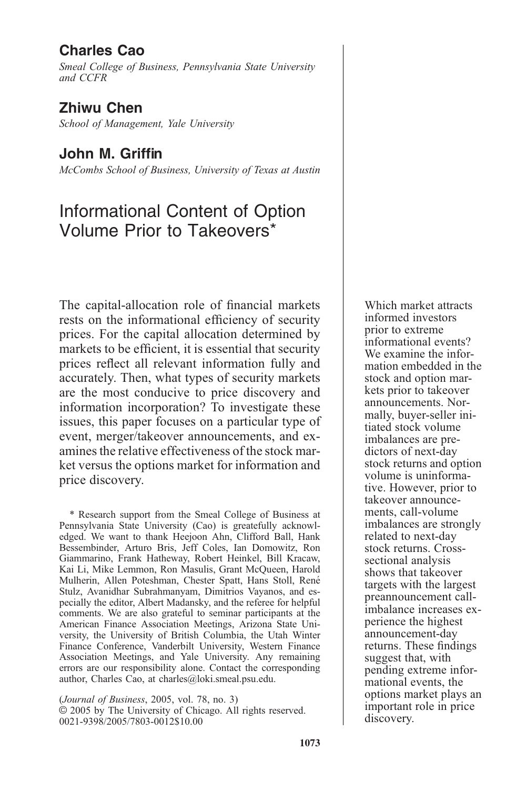# Charles Cao

Smeal College of Business, Pennsylvania State University and CCFR

# Zhiwu Chen

School of Management, Yale University

# John M. Griffin

McCombs School of Business, University of Texas at Austin

# Informational Content of Option Volume Prior to Takeovers\*

The capital-allocation role of financial markets rests on the informational efficiency of security prices. For the capital allocation determined by markets to be efficient, it is essential that security prices reflect all relevant information fully and accurately. Then, what types of security markets are the most conducive to price discovery and information incorporation? To investigate these issues, this paper focuses on a particular type of event, merger/takeover announcements, and examines the relative effectiveness of the stock market versus the options market for information and price discovery.

\* Research support from the Smeal College of Business at Pennsylvania State University (Cao) is greatefully acknowledged. We want to thank Heejoon Ahn, Clifford Ball, Hank Bessembinder, Arturo Bris, Jeff Coles, Ian Domowitz, Ron Giammarino, Frank Hatheway, Robert Heinkel, Bill Kracaw, Kai Li, Mike Lemmon, Ron Masulis, Grant McQueen, Harold Mulherin, Allen Poteshman, Chester Spatt, Hans Stoll, René Stulz, Avanidhar Subrahmanyam, Dimitrios Vayanos, and especially the editor, Albert Madansky, and the referee for helpful comments. We are also grateful to seminar participants at the American Finance Association Meetings, Arizona State University, the University of British Columbia, the Utah Winter Finance Conference, Vanderbilt University, Western Finance Association Meetings, and Yale University. Any remaining errors are our responsibility alone. Contact the corresponding author, Charles Cao, at charles@loki.smeal.psu.edu.

(Journal of Business, 2005, vol. 78, no. 3)  $\odot$  2005 by The University of Chicago. All rights reserved. 0021-9398/2005/7803-0012\$10.00

Which market attracts informed investors prior to extreme informational events? We examine the information embedded in the stock and option markets prior to takeover announcements. Normally, buyer-seller initiated stock volume imbalances are predictors of next-day stock returns and option volume is uninformative. However, prior to takeover announcements, call-volume imbalances are strongly related to next-day stock returns. Crosssectional analysis shows that takeover targets with the largest preannouncement callimbalance increases experience the highest announcement-day returns. These findings suggest that, with pending extreme informational events, the options market plays an important role in price discovery.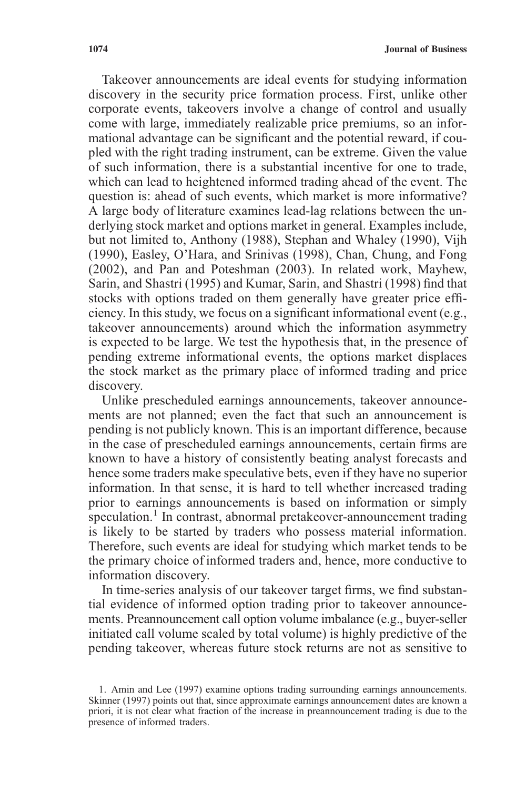Takeover announcements are ideal events for studying information discovery in the security price formation process. First, unlike other corporate events, takeovers involve a change of control and usually come with large, immediately realizable price premiums, so an informational advantage can be significant and the potential reward, if coupled with the right trading instrument, can be extreme. Given the value of such information, there is a substantial incentive for one to trade, which can lead to heightened informed trading ahead of the event. The question is: ahead of such events, which market is more informative? A large body of literature examines lead-lag relations between the underlying stock market and options market in general. Examples include, but not limited to, Anthony (1988), Stephan and Whaley (1990), Vijh (1990), Easley, O'Hara, and Srinivas (1998), Chan, Chung, and Fong (2002), and Pan and Poteshman (2003). In related work, Mayhew, Sarin, and Shastri (1995) and Kumar, Sarin, and Shastri (1998) find that stocks with options traded on them generally have greater price efficiency. In this study, we focus on a significant informational event (e.g., takeover announcements) around which the information asymmetry is expected to be large. We test the hypothesis that, in the presence of pending extreme informational events, the options market displaces the stock market as the primary place of informed trading and price discovery.

Unlike prescheduled earnings announcements, takeover announcements are not planned; even the fact that such an announcement is pending is not publicly known. This is an important difference, because in the case of prescheduled earnings announcements, certain firms are known to have a history of consistently beating analyst forecasts and hence some traders make speculative bets, even if they have no superior information. In that sense, it is hard to tell whether increased trading prior to earnings announcements is based on information or simply speculation.<sup>1</sup> In contrast, abnormal pretakeover-announcement trading is likely to be started by traders who possess material information. Therefore, such events are ideal for studying which market tends to be the primary choice of informed traders and, hence, more conductive to information discovery.

In time-series analysis of our takeover target firms, we find substantial evidence of informed option trading prior to takeover announcements. Preannouncement call option volume imbalance (e.g., buyer-seller initiated call volume scaled by total volume) is highly predictive of the pending takeover, whereas future stock returns are not as sensitive to

<sup>1.</sup> Amin and Lee (1997) examine options trading surrounding earnings announcements. Skinner (1997) points out that, since approximate earnings announcement dates are known a priori, it is not clear what fraction of the increase in preannouncement trading is due to the presence of informed traders.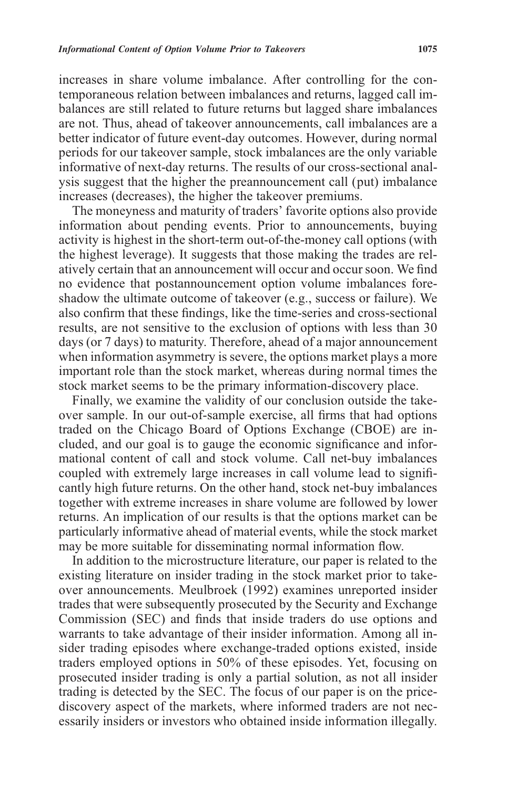increases in share volume imbalance. After controlling for the contemporaneous relation between imbalances and returns, lagged call imbalances are still related to future returns but lagged share imbalances are not. Thus, ahead of takeover announcements, call imbalances are a better indicator of future event-day outcomes. However, during normal periods for our takeover sample, stock imbalances are the only variable informative of next-day returns. The results of our cross-sectional analysis suggest that the higher the preannouncement call (put) imbalance increases (decreases), the higher the takeover premiums.

The moneyness and maturity of traders' favorite options also provide information about pending events. Prior to announcements, buying activity is highest in the short-term out-of-the-money call options (with the highest leverage). It suggests that those making the trades are relatively certain that an announcement will occur and occur soon. We find no evidence that postannouncement option volume imbalances foreshadow the ultimate outcome of takeover (e.g., success or failure). We also confirm that these findings, like the time-series and cross-sectional results, are not sensitive to the exclusion of options with less than 30 days (or 7 days) to maturity. Therefore, ahead of a major announcement when information asymmetry is severe, the options market plays a more important role than the stock market, whereas during normal times the stock market seems to be the primary information-discovery place.

Finally, we examine the validity of our conclusion outside the takeover sample. In our out-of-sample exercise, all firms that had options traded on the Chicago Board of Options Exchange (CBOE) are included, and our goal is to gauge the economic significance and informational content of call and stock volume. Call net-buy imbalances coupled with extremely large increases in call volume lead to significantly high future returns. On the other hand, stock net-buy imbalances together with extreme increases in share volume are followed by lower returns. An implication of our results is that the options market can be particularly informative ahead of material events, while the stock market may be more suitable for disseminating normal information flow.

In addition to the microstructure literature, our paper is related to the existing literature on insider trading in the stock market prior to takeover announcements. Meulbroek (1992) examines unreported insider trades that were subsequently prosecuted by the Security and Exchange Commission (SEC) and finds that inside traders do use options and warrants to take advantage of their insider information. Among all insider trading episodes where exchange-traded options existed, inside traders employed options in 50% of these episodes. Yet, focusing on prosecuted insider trading is only a partial solution, as not all insider trading is detected by the SEC. The focus of our paper is on the pricediscovery aspect of the markets, where informed traders are not necessarily insiders or investors who obtained inside information illegally.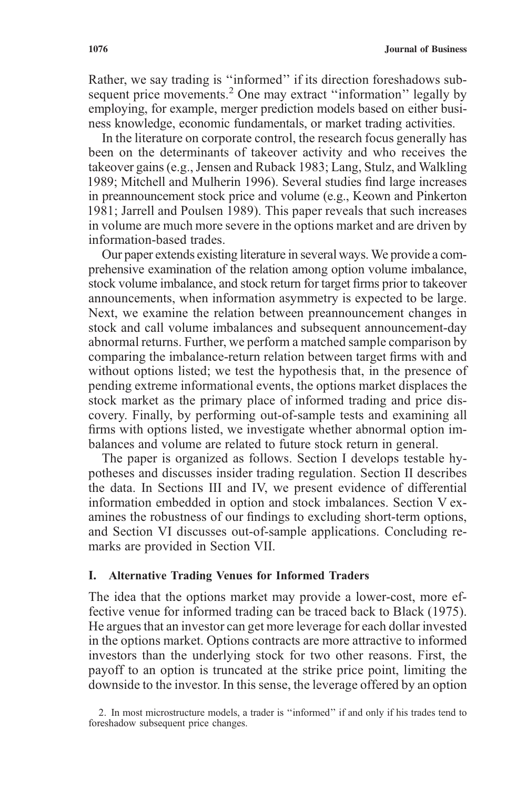Rather, we say trading is ''informed'' if its direction foreshadows subsequent price movements.<sup>2</sup> One may extract "information" legally by employing, for example, merger prediction models based on either business knowledge, economic fundamentals, or market trading activities.

In the literature on corporate control, the research focus generally has been on the determinants of takeover activity and who receives the takeover gains (e.g., Jensen and Ruback 1983; Lang, Stulz, and Walkling 1989; Mitchell and Mulherin 1996). Several studies find large increases in preannouncement stock price and volume (e.g., Keown and Pinkerton 1981; Jarrell and Poulsen 1989). This paper reveals that such increases in volume are much more severe in the options market and are driven by information-based trades.

Our paper extends existing literature in several ways. We provide a comprehensive examination of the relation among option volume imbalance, stock volume imbalance, and stock return for target firms prior to takeover announcements, when information asymmetry is expected to be large. Next, we examine the relation between preannouncement changes in stock and call volume imbalances and subsequent announcement-day abnormal returns. Further, we perform a matched sample comparison by comparing the imbalance-return relation between target firms with and without options listed; we test the hypothesis that, in the presence of pending extreme informational events, the options market displaces the stock market as the primary place of informed trading and price discovery. Finally, by performing out-of-sample tests and examining all firms with options listed, we investigate whether abnormal option imbalances and volume are related to future stock return in general.

The paper is organized as follows. Section I develops testable hypotheses and discusses insider trading regulation. Section II describes the data. In Sections III and IV, we present evidence of differential information embedded in option and stock imbalances. Section V examines the robustness of our findings to excluding short-term options, and Section VI discusses out-of-sample applications. Concluding remarks are provided in Section VII.

## I. Alternative Trading Venues for Informed Traders

The idea that the options market may provide a lower-cost, more effective venue for informed trading can be traced back to Black (1975). He argues that an investor can get more leverage for each dollar invested in the options market. Options contracts are more attractive to informed investors than the underlying stock for two other reasons. First, the payoff to an option is truncated at the strike price point, limiting the downside to the investor. In this sense, the leverage offered by an option

<sup>2.</sup> In most microstructure models, a trader is ''informed'' if and only if his trades tend to foreshadow subsequent price changes.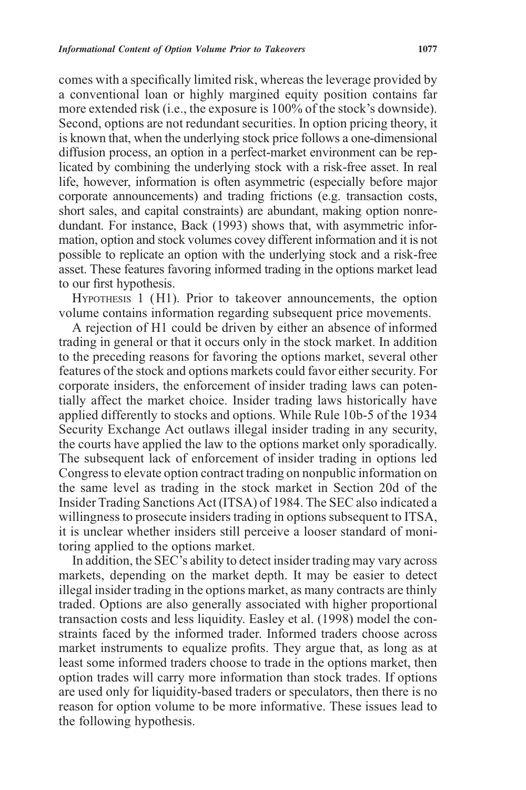comes with a specifically limited risk, whereas the leverage provided by a conventional loan or highly margined equity position contains far more extended risk (i.e., the exposure is 100% of the stock's downside). Second, options are not redundant securities. In option pricing theory, it is known that, when the underlying stock price follows a one-dimensional diffusion process, an option in a perfect-market environment can be replicated by combining the underlying stock with a risk-free asset. In real life, however, information is often asymmetric (especially before major corporate announcements) and trading frictions (e.g. transaction costs, short sales, and capital constraints) are abundant, making option nonredundant. For instance, Back (1993) shows that, with asymmetric information, option and stock volumes covey different information and it is not possible to replicate an option with the underlying stock and a risk-free asset. These features favoring informed trading in the options market lead to our first hypothesis.

Hypothesis 1 (H1). Prior to takeover announcements, the option volume contains information regarding subsequent price movements.

A rejection of H1 could be driven by either an absence of informed trading in general or that it occurs only in the stock market. In addition to the preceding reasons for favoring the options market, several other features of the stock and options markets could favor either security. For corporate insiders, the enforcement of insider trading laws can potentially affect the market choice. Insider trading laws historically have applied differently to stocks and options. While Rule 10b-5 of the 1934 Security Exchange Act outlaws illegal insider trading in any security, the courts have applied the law to the options market only sporadically. The subsequent lack of enforcement of insider trading in options led Congress to elevate option contract trading on nonpublic information on the same level as trading in the stock market in Section 20d of the Insider Trading Sanctions Act (ITSA) of 1984. The SEC also indicated a willingness to prosecute insiders trading in options subsequent to ITSA, it is unclear whether insiders still perceive a looser standard of monitoring applied to the options market.

In addition, the SEC's ability to detect insider trading may vary across markets, depending on the market depth. It may be easier to detect illegal insider trading in the options market, as many contracts are thinly traded. Options are also generally associated with higher proportional transaction costs and less liquidity. Easley et al. (1998) model the constraints faced by the informed trader. Informed traders choose across market instruments to equalize profits. They argue that, as long as at least some informed traders choose to trade in the options market, then option trades will carry more information than stock trades. If options are used only for liquidity-based traders or speculators, then there is no reason for option volume to be more informative. These issues lead to the following hypothesis.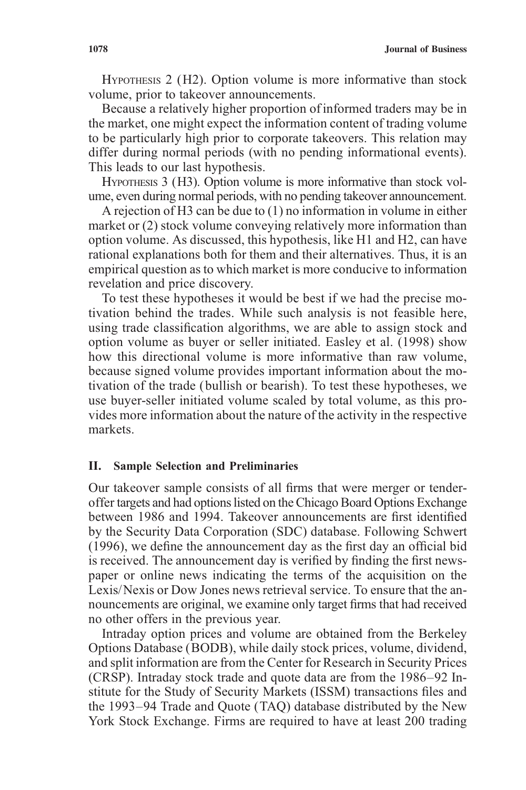1078 Journal of Business

Hypothesis 2 (H2). Option volume is more informative than stock volume, prior to takeover announcements.

Because a relatively higher proportion of informed traders may be in the market, one might expect the information content of trading volume to be particularly high prior to corporate takeovers. This relation may differ during normal periods (with no pending informational events). This leads to our last hypothesis.

Hypothesis 3 (H3). Option volume is more informative than stock volume, even during normal periods, with no pending takeover announcement.

A rejection of H3 can be due to (1) no information in volume in either market or (2) stock volume conveying relatively more information than option volume. As discussed, this hypothesis, like H1 and H2, can have rational explanations both for them and their alternatives. Thus, it is an empirical question as to which market is more conducive to information revelation and price discovery.

To test these hypotheses it would be best if we had the precise motivation behind the trades. While such analysis is not feasible here, using trade classification algorithms, we are able to assign stock and option volume as buyer or seller initiated. Easley et al. (1998) show how this directional volume is more informative than raw volume, because signed volume provides important information about the motivation of the trade ( bullish or bearish). To test these hypotheses, we use buyer-seller initiated volume scaled by total volume, as this provides more information about the nature of the activity in the respective markets.

## II. Sample Selection and Preliminaries

Our takeover sample consists of all firms that were merger or tenderoffer targets and had options listed on the Chicago Board Options Exchange between 1986 and 1994. Takeover announcements are first identified by the Security Data Corporation (SDC) database. Following Schwert (1996), we define the announcement day as the first day an official bid is received. The announcement day is verified by finding the first newspaper or online news indicating the terms of the acquisition on the Lexis/Nexis or Dow Jones news retrieval service. To ensure that the announcements are original, we examine only target firms that had received no other offers in the previous year.

Intraday option prices and volume are obtained from the Berkeley Options Database (BODB), while daily stock prices, volume, dividend, and split information are from the Center for Research in Security Prices (CRSP). Intraday stock trade and quote data are from the 1986–92 Institute for the Study of Security Markets (ISSM) transactions files and the 1993–94 Trade and Quote (TAQ) database distributed by the New York Stock Exchange. Firms are required to have at least 200 trading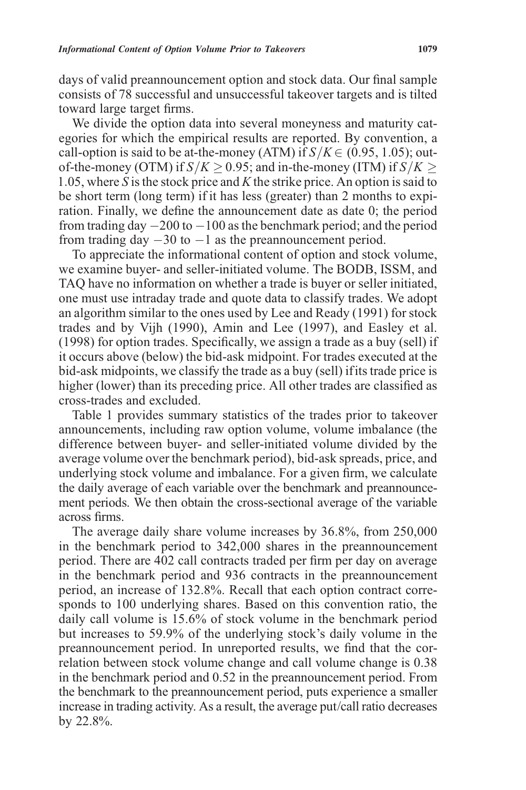days of valid preannouncement option and stock data. Our final sample consists of 78 successful and unsuccessful takeover targets and is tilted toward large target firms.

We divide the option data into several moneyness and maturity categories for which the empirical results are reported. By convention, a call-option is said to be at-the-money (ATM) if  $S/K \in (0.95, 1.05)$ ; outof-the-money (OTM) if  $S/K \ge 0.95$ ; and in-the-money (ITM) if  $S/K \ge$ 1.05, where S is the stock price and K the strike price. An option is said to be short term (long term) if it has less (greater) than 2 months to expiration. Finally, we define the announcement date as date 0; the period from trading day  $-200$  to  $-100$  as the benchmark period; and the period from trading day  $-30$  to  $-1$  as the preannouncement period.

To appreciate the informational content of option and stock volume, we examine buyer- and seller-initiated volume. The BODB, ISSM, and TAQ have no information on whether a trade is buyer or seller initiated, one must use intraday trade and quote data to classify trades. We adopt an algorithm similar to the ones used by Lee and Ready (1991) for stock trades and by Vijh (1990), Amin and Lee (1997), and Easley et al. (1998) for option trades. Specifically, we assign a trade as a buy (sell) if it occurs above (below) the bid-ask midpoint. For trades executed at the bid-ask midpoints, we classify the trade as a buy (sell) ifits trade price is higher (lower) than its preceding price. All other trades are classified as cross-trades and excluded.

Table 1 provides summary statistics of the trades prior to takeover announcements, including raw option volume, volume imbalance (the difference between buyer- and seller-initiated volume divided by the average volume over the benchmark period), bid-ask spreads, price, and underlying stock volume and imbalance. For a given firm, we calculate the daily average of each variable over the benchmark and preannouncement periods. We then obtain the cross-sectional average of the variable across firms.

The average daily share volume increases by 36.8%, from 250,000 in the benchmark period to 342,000 shares in the preannouncement period. There are 402 call contracts traded per firm per day on average in the benchmark period and 936 contracts in the preannouncement period, an increase of 132.8%. Recall that each option contract corresponds to 100 underlying shares. Based on this convention ratio, the daily call volume is 15.6% of stock volume in the benchmark period but increases to 59.9% of the underlying stock's daily volume in the preannouncement period. In unreported results, we find that the correlation between stock volume change and call volume change is 0.38 in the benchmark period and 0.52 in the preannouncement period. From the benchmark to the preannouncement period, puts experience a smaller increase in trading activity. As a result, the average put/call ratio decreases by 22.8%.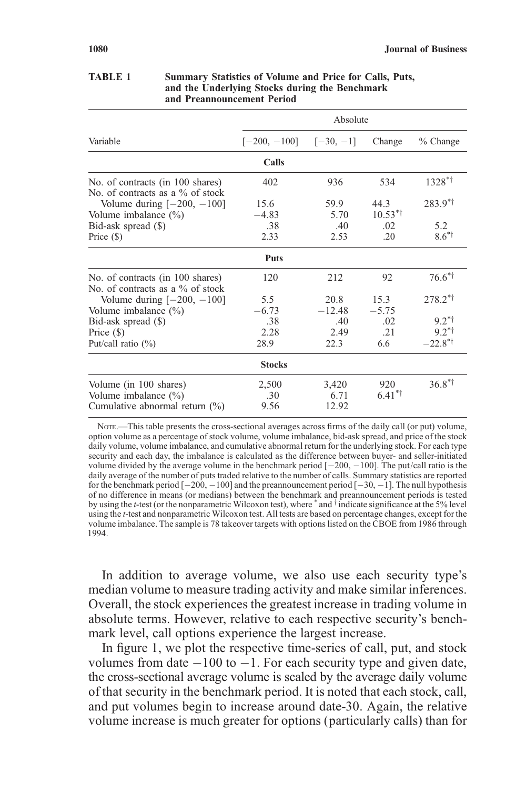|                                                                         | Absolute                   |          |                       |                      |  |  |  |
|-------------------------------------------------------------------------|----------------------------|----------|-----------------------|----------------------|--|--|--|
| Variable                                                                | $[-200, -100]$ $[-30, -1]$ |          | Change                | $%$ Change           |  |  |  |
|                                                                         | Calls                      |          |                       |                      |  |  |  |
| No. of contracts (in 100 shares)                                        | 402                        | 936      | 534                   | $1328$ <sup>*†</sup> |  |  |  |
| No. of contracts as a $\%$ of stock<br>Volume during $[-200, -100]$     | 15.6                       | 59.9     | 44.3                  | $283.9^{*+}$         |  |  |  |
| Volume imbalance $(\%)$                                                 | $-4.83$                    | 5.70     | $10.53$ <sup>*†</sup> |                      |  |  |  |
| Bid-ask spread (\$)                                                     | .38                        | .40      | .02                   | 5.2                  |  |  |  |
| Price $(\$)$                                                            | 2.33                       | 2.53     | .20                   | $8.6^{*+}$           |  |  |  |
|                                                                         | Puts                       |          |                       |                      |  |  |  |
| No. of contracts (in 100 shares)<br>No. of contracts as a $\%$ of stock | 120                        | 212      | 92                    | $76.6^{*+}$          |  |  |  |
| Volume during $[-200, -100]$                                            | 5.5                        | 20.8     | 15.3                  | 278.2*               |  |  |  |
| Volume imbalance $(\%)$                                                 | $-6.73$                    | $-12.48$ | $-5.75$               |                      |  |  |  |
| Bid-ask spread (\$)                                                     | .38                        | .40      | .02                   | $9.2^{*}$            |  |  |  |
| Price $(\$)$                                                            | 2.28                       | 2.49     | .21                   | $9.2$ <sup>*†</sup>  |  |  |  |
| Put/call ratio $(\% )$                                                  | 28.9                       | 22.3     | 6.6                   | $-22.8$ *†           |  |  |  |
|                                                                         | <b>Stocks</b>              |          |                       |                      |  |  |  |
| Volume (in 100 shares)                                                  | 2,500                      | 3,420    | 920                   | $36.8^{*}$           |  |  |  |
| Volume imbalance (%)                                                    | .30                        | 6.71     | $6.41**$              |                      |  |  |  |
| Cumulative abnormal return $(\%)$                                       | 9.56                       | 12.92    |                       |                      |  |  |  |

#### TABLE 1 Summary Statistics of Volume and Price for Calls, Puts, and the Underlying Stocks during the Benchmark and Preannouncement Period

Note.—This table presents the cross-sectional averages across firms of the daily call (or put) volume, option volume as a percentage of stock volume, volume imbalance, bid-ask spread, and price of the stock daily volume, volume imbalance, and cumulative abnormal return for the underlying stock. For each type security and each day, the imbalance is calculated as the difference between buyer- and seller-initiated volume divided by the average volume in the benchmark period  $[-200, -100]$ . The put/call ratio is the daily average of the number of puts traded relative to the number of calls. Summary statistics are reported for the benchmark period  $[-200, -100]$  and the preannouncement period  $[-30, -1]$ . The null hypothesis of no difference in means (or medians) between the benchmark and preannouncement periods is tested by using the t-test (or the nonparametric Wilcoxon test), where  $*$  and  $\dagger$  indicate significance at the 5% level using the t-test and nonparametric Wilcoxon test. All tests are based on percentage changes, except for the volume imbalance. The sample is 78 takeover targets with options listed on the CBOE from 1986 through 1994.

In addition to average volume, we also use each security type's median volume to measure trading activity and make similar inferences. Overall, the stock experiences the greatest increase in trading volume in absolute terms. However, relative to each respective security's benchmark level, call options experience the largest increase.

In figure 1, we plot the respective time-series of call, put, and stock volumes from date  $-100$  to  $-1$ . For each security type and given date, the cross-sectional average volume is scaled by the average daily volume of that security in the benchmark period. It is noted that each stock, call, and put volumes begin to increase around date-30. Again, the relative volume increase is much greater for options (particularly calls) than for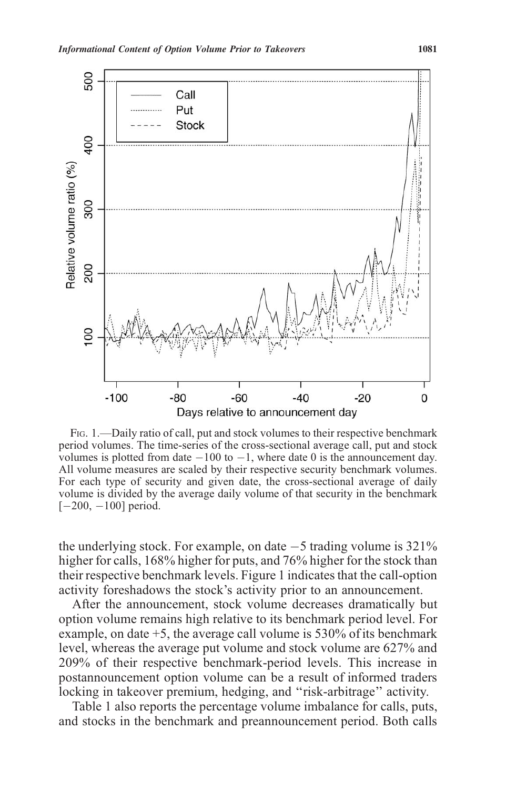

*F*ig. 1.—Daily ratio of call, put and stock volumes to their respective benchmark period volumes. The time-series of the cross-sectional average call, put and stock volumes is plotted from date  $-100$  to  $-1$ , where date 0 is the announcement day. All volume measures are scaled by their respective security benchmark volumes. For each type of security and given date, the cross-sectional average of daily volume is divided by the average daily volume of that security in the benchmark  $[-200, -100]$  period.

the underlying stock. For example, on date  $-5$  trading volume is 321% higher for calls, 168% higher for puts, and 76% higher for the stock than their respective benchmark levels. Figure 1 indicates that the call-option activity foreshadows the stock's activity prior to an announcement.

After the announcement, stock volume decreases dramatically but option volume remains high relative to its benchmark period level. For example, on date  $+5$ , the average call volume is 530% of its benchmark level, whereas the average put volume and stock volume are 627% and 209% of their respective benchmark-period levels. This increase in postannouncement option volume can be a result of informed traders locking in takeover premium, hedging, and "risk-arbitrage" activity.

Table 1 also reports the percentage volume imbalance for calls, puts, and stocks in the benchmark and preannouncement period. Both calls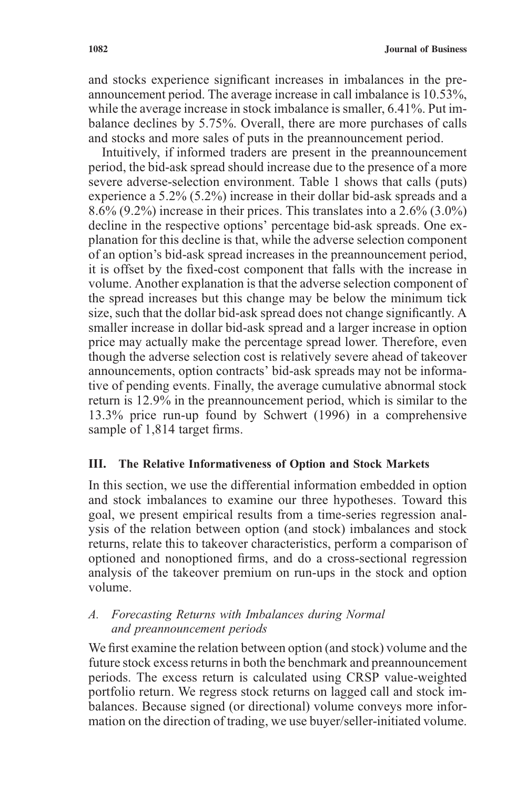1082 Journal of Business

and stocks experience significant increases in imbalances in the preannouncement period. The average increase in call imbalance is 10.53%, while the average increase in stock imbalance is smaller, 6.41%. Put imbalance declines by 5.75%. Overall, there are more purchases of calls and stocks and more sales of puts in the preannouncement period.

Intuitively, if informed traders are present in the preannouncement period, the bid-ask spread should increase due to the presence of a more severe adverse-selection environment. Table 1 shows that calls (puts) experience a 5.2% (5.2%) increase in their dollar bid-ask spreads and a  $8.6\%$  (9.2%) increase in their prices. This translates into a  $2.6\%$  (3.0%) decline in the respective options' percentage bid-ask spreads. One explanation for this decline is that, while the adverse selection component of an option's bid-ask spread increases in the preannouncement period, it is offset by the fixed-cost component that falls with the increase in volume. Another explanation is that the adverse selection component of the spread increases but this change may be below the minimum tick size, such that the dollar bid-ask spread does not change significantly. A smaller increase in dollar bid-ask spread and a larger increase in option price may actually make the percentage spread lower. Therefore, even though the adverse selection cost is relatively severe ahead of takeover announcements, option contracts' bid-ask spreads may not be informative of pending events. Finally, the average cumulative abnormal stock return is 12.9% in the preannouncement period, which is similar to the 13.3% price run-up found by Schwert (1996) in a comprehensive sample of 1,814 target firms.

# III. The Relative Informativeness of Option and Stock Markets

In this section, we use the differential information embedded in option and stock imbalances to examine our three hypotheses. Toward this goal, we present empirical results from a time-series regression analysis of the relation between option (and stock) imbalances and stock returns, relate this to takeover characteristics, perform a comparison of optioned and nonoptioned firms, and do a cross-sectional regression analysis of the takeover premium on run-ups in the stock and option volume.

# A. Forecasting Returns with Imbalances during Normal and preannouncement periods

We first examine the relation between option (and stock) volume and the future stock excess returns in both the benchmark and preannouncement periods. The excess return is calculated using CRSP value-weighted portfolio return. We regress stock returns on lagged call and stock imbalances. Because signed (or directional) volume conveys more information on the direction of trading, we use buyer/seller-initiated volume.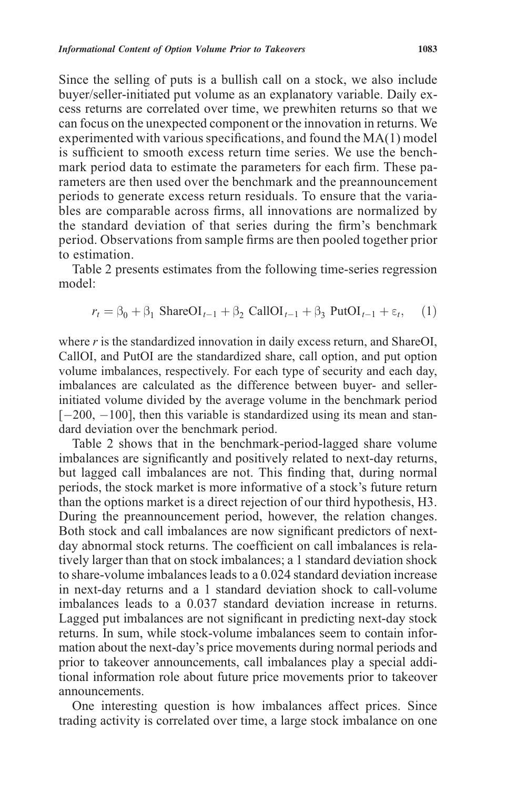Since the selling of puts is a bullish call on a stock, we also include buyer/seller-initiated put volume as an explanatory variable. Daily excess returns are correlated over time, we prewhiten returns so that we can focus on the unexpected component or the innovation in returns. We experimented with various specifications, and found the MA(1) model is sufficient to smooth excess return time series. We use the benchmark period data to estimate the parameters for each firm. These parameters are then used over the benchmark and the preannouncement periods to generate excess return residuals. To ensure that the variables are comparable across firms, all innovations are normalized by the standard deviation of that series during the firm's benchmark period. Observations from sample firms are then pooled together prior to estimation.

Table 2 presents estimates from the following time-series regression model:

$$
r_t = \beta_0 + \beta_1 \text{ShareOI}_{t-1} + \beta_2 \text{CallOI}_{t-1} + \beta_3 \text{PutOI}_{t-1} + \varepsilon_t, \quad (1)
$$

where  $r$  is the standardized innovation in daily excess return, and ShareOI, CallOI, and PutOI are the standardized share, call option, and put option volume imbalances, respectively. For each type of security and each day, imbalances are calculated as the difference between buyer- and sellerinitiated volume divided by the average volume in the benchmark period  $[-200, -100]$ , then this variable is standardized using its mean and standard deviation over the benchmark period.

Table 2 shows that in the benchmark-period-lagged share volume imbalances are significantly and positively related to next-day returns, but lagged call imbalances are not. This finding that, during normal periods, the stock market is more informative of a stock's future return than the options market is a direct rejection of our third hypothesis, H3. During the preannouncement period, however, the relation changes. Both stock and call imbalances are now significant predictors of nextday abnormal stock returns. The coefficient on call imbalances is relatively larger than that on stock imbalances; a 1 standard deviation shock to share-volume imbalances leads to a 0.024 standard deviation increase in next-day returns and a 1 standard deviation shock to call-volume imbalances leads to a 0.037 standard deviation increase in returns. Lagged put imbalances are not significant in predicting next-day stock returns. In sum, while stock-volume imbalances seem to contain information about the next-day's price movements during normal periods and prior to takeover announcements, call imbalances play a special additional information role about future price movements prior to takeover announcements.

One interesting question is how imbalances affect prices. Since trading activity is correlated over time, a large stock imbalance on one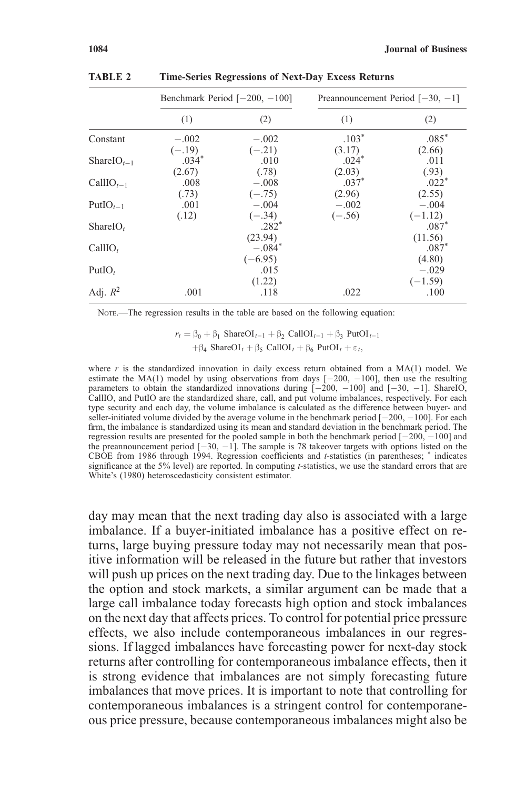|                      |                     | Benchmark Period $[-200, -100]$ | Preannouncement Period $[-30, -1]$ |                      |
|----------------------|---------------------|---------------------------------|------------------------------------|----------------------|
|                      | (1)                 | (2)                             | (1)                                | (2)                  |
| Constant             | $-.002$<br>$(-.19)$ | $-.002$<br>$(-.21)$             | $.103*$<br>(3.17)                  | $.085*$<br>(2.66)    |
| $ShareIO_{t-1}$      | $.034*$<br>(2.67)   | .010<br>(.78)                   | $.024*$<br>(2.03)                  | .011<br>(.93)        |
| $CallIO_{t-1}$       | .008<br>(.73)       | $-.008$<br>$(-.75)$             | $.037*$<br>(2.96)                  | $.022*$<br>(2.55)    |
| $PutIO_{t-1}$        | .001<br>(.12)       | $-.004$<br>$(-.34)$             | $-.002$<br>$(-.56)$                | $-.004$<br>$(-1.12)$ |
| ShareIO <sub>t</sub> |                     | $.282*$<br>(23.94)              |                                    | $.087*$<br>(11.56)   |
| $CallIO_t$           |                     | $-.084^{\circ}$<br>$(-6.95)$    |                                    | $.087*$<br>(4.80)    |
| PutIO <sub>t</sub>   |                     | .015                            |                                    | $-.029$              |
| Adj. $R^2$           | .001                | (1.22)<br>.118                  | .022                               | $(-1.59)$<br>.100    |

TABLE 2 Time-Series Regressions of Next-Day Excess Returns

NOTE.—The regression results in the table are based on the following equation:

 $r_t = \beta_0 + \beta_1$  ShareOI<sub>t-1</sub> +  $\beta_2$  CallOI<sub>t-1</sub> +  $\beta_3$  PutOI<sub>t-1</sub>  $+\beta_4$  ShareOI<sub>t</sub> +  $\beta_5$  CallOI<sub>t</sub> +  $\beta_6$  PutOI<sub>t</sub> +  $\varepsilon_t$ ,

where  $r$  is the standardized innovation in daily excess return obtained from a MA(1) model. We estimate the MA(1) model by using observations from days  $[-200, -100]$ , then use the resulting parameters to obtain the standardized innovations during  $[-200, -100]$  and  $[-30, -1]$ . ShareIO, CallIO, and PutIO are the standardized share, call, and put volume imbalances, respectively. For each type security and each day, the volume imbalance is calculated as the difference between buyer- and seller-initiated volume divided by the average volume in the benchmark period  $[-200, -100]$ . For each firm, the imbalance is standardized using its mean and standard deviation in the benchmark period. The regression results are presented for the pooled sample in both the benchmark period  $[-200, -100]$  and the preannouncement period  $[-30, -1]$ . The sample is 78 takeover targets with options listed on the CBOE from 1986 through 1994. Regression coefficients and t-statistics (in parentheses; \* indicates significance at the 5% level) are reported. In computing *t*-statistics, we use the standard errors that are White's (1980) heteroscedasticity consistent estimator.

day may mean that the next trading day also is associated with a large imbalance. If a buyer-initiated imbalance has a positive effect on returns, large buying pressure today may not necessarily mean that positive information will be released in the future but rather that investors will push up prices on the next trading day. Due to the linkages between the option and stock markets, a similar argument can be made that a large call imbalance today forecasts high option and stock imbalances on the next day that affects prices. To control for potential price pressure effects, we also include contemporaneous imbalances in our regressions. If lagged imbalances have forecasting power for next-day stock returns after controlling for contemporaneous imbalance effects, then it is strong evidence that imbalances are not simply forecasting future imbalances that move prices. It is important to note that controlling for contemporaneous imbalances is a stringent control for contemporaneous price pressure, because contemporaneous imbalances might also be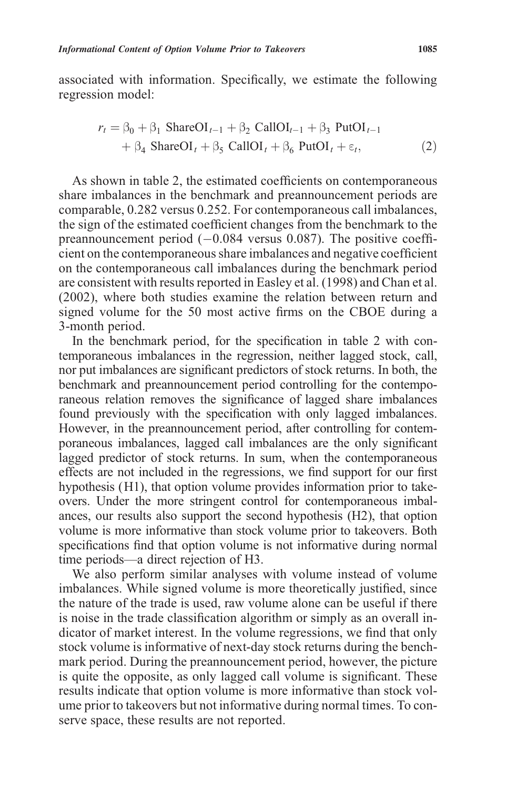associated with information. Specifically, we estimate the following regression model:

$$
r_t = \beta_0 + \beta_1 \text{ShareOI}_{t-1} + \beta_2 \text{CallOI}_{t-1} + \beta_3 \text{PutOI}_{t-1} + \beta_4 \text{ShareOI}_t + \beta_5 \text{CallOI}_t + \beta_6 \text{PutOI}_t + \varepsilon_t,
$$
 (2)

As shown in table 2, the estimated coefficients on contemporaneous share imbalances in the benchmark and preannouncement periods are comparable, 0.282 versus 0.252. For contemporaneous call imbalances, the sign of the estimated coefficient changes from the benchmark to the preannouncement period  $(-0.084 \text{ versus } 0.087)$ . The positive coefficient on the contemporaneous share imbalances and negative coefficient on the contemporaneous call imbalances during the benchmark period are consistent with results reported in Easley et al. (1998) and Chan et al. (2002), where both studies examine the relation between return and signed volume for the 50 most active firms on the CBOE during a 3-month period.

In the benchmark period, for the specification in table 2 with contemporaneous imbalances in the regression, neither lagged stock, call, nor put imbalances are significant predictors of stock returns. In both, the benchmark and preannouncement period controlling for the contemporaneous relation removes the significance of lagged share imbalances found previously with the specification with only lagged imbalances. However, in the preannouncement period, after controlling for contemporaneous imbalances, lagged call imbalances are the only significant lagged predictor of stock returns. In sum, when the contemporaneous effects are not included in the regressions, we find support for our first hypothesis (H1), that option volume provides information prior to takeovers. Under the more stringent control for contemporaneous imbalances, our results also support the second hypothesis (H2), that option volume is more informative than stock volume prior to takeovers. Both specifications find that option volume is not informative during normal time periods—a direct rejection of H3.

We also perform similar analyses with volume instead of volume imbalances. While signed volume is more theoretically justified, since the nature of the trade is used, raw volume alone can be useful if there is noise in the trade classification algorithm or simply as an overall indicator of market interest. In the volume regressions, we find that only stock volume is informative of next-day stock returns during the benchmark period. During the preannouncement period, however, the picture is quite the opposite, as only lagged call volume is significant. These results indicate that option volume is more informative than stock volume prior to takeovers but not informative during normal times. To conserve space, these results are not reported.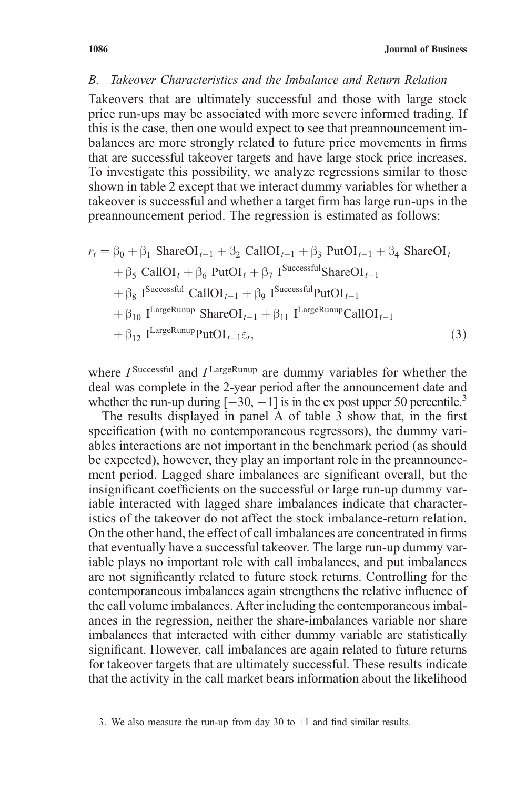# B. Takeover Characteristics and the Imbalance and Return Relation

Takeovers that are ultimately successful and those with large stock price run-ups may be associated with more severe informed trading. If this is the case, then one would expect to see that preannouncement imbalances are more strongly related to future price movements in firms that are successful takeover targets and have large stock price increases. To investigate this possibility, we analyze regressions similar to those shown in table 2 except that we interact dummy variables for whether a takeover is successful and whether a target firm has large run-ups in the preannouncement period. The regression is estimated as follows:

$$
r_{t} = \beta_{0} + \beta_{1} \text{ShareOI}_{t-1} + \beta_{2} \text{CallOI}_{t-1} + \beta_{3} \text{PutOI}_{t-1} + \beta_{4} \text{ShareOI}_{t} + \beta_{5} \text{CallOI}_{t} + \beta_{6} \text{PutOI}_{t} + \beta_{7} \text{I}^{\text{Successful}} \text{ShareOI}_{t-1} + \beta_{8} \text{I}^{\text{Successful}} \text{CallOI}_{t-1} + \beta_{9} \text{I}^{\text{Successful}} \text{PutOI}_{t-1} + \beta_{10} \text{I}^{\text{LargeRunup}} \text{ShareOI}_{t-1} + \beta_{11} \text{I}^{\text{LargeRunup}} \text{CallOI}_{t-1} + \beta_{12} \text{I}^{\text{LargeRunup}} \text{PutOI}_{t-1} \epsilon_{t},
$$
\n(3)

where  $I^{\text{Successful}}$  and  $I^{\text{LargeRunup}}$  are dummy variables for whether the deal was complete in the 2-year period after the announcement date and whether the run-up during  $[-30, -1]$  is in the ex post upper 50 percentile.<sup>3</sup>

The results displayed in panel A of table 3 show that, in the first specification (with no contemporaneous regressors), the dummy variables interactions are not important in the benchmark period (as should be expected), however, they play an important role in the preannouncement period. Lagged share imbalances are significant overall, but the insignificant coefficients on the successful or large run-up dummy variable interacted with lagged share imbalances indicate that characteristics of the takeover do not affect the stock imbalance-return relation. On the other hand, the effect of call imbalances are concentrated in firms that eventually have a successful takeover. The large run-up dummy variable plays no important role with call imbalances, and put imbalances are not significantly related to future stock returns. Controlling for the contemporaneous imbalances again strengthens the relative influence of the call volume imbalances. After including the contemporaneous imbalances in the regression, neither the share-imbalances variable nor share imbalances that interacted with either dummy variable are statistically significant. However, call imbalances are again related to future returns for takeover targets that are ultimately successful. These results indicate that the activity in the call market bears information about the likelihood

<sup>3.</sup> We also measure the run-up from day 30 to +1 and find similar results.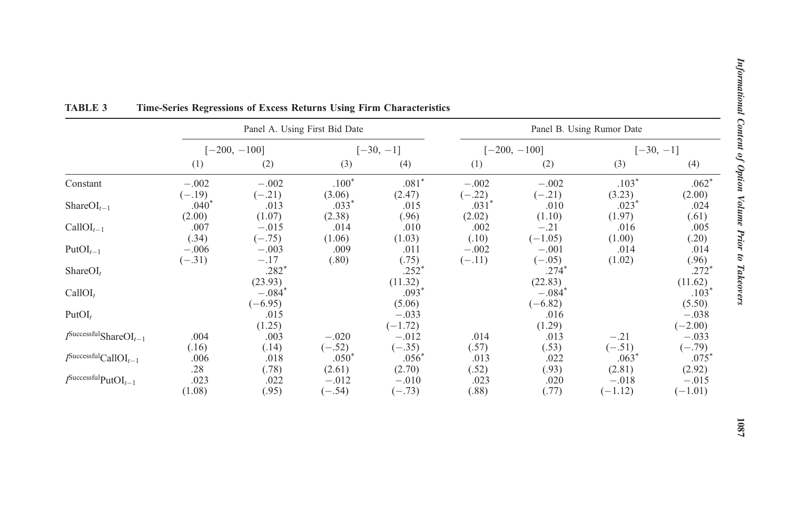|                        |                       |                                  | Panel A. Using First Bid Date |                                          | Panel B. Using Rumor Date |                                  |                                |                                |
|------------------------|-----------------------|----------------------------------|-------------------------------|------------------------------------------|---------------------------|----------------------------------|--------------------------------|--------------------------------|
|                        |                       | $[-200, -100]$                   |                               | $[-30, -1]$                              |                           | $[-200, -100]$                   |                                | $[-30, -1]$                    |
|                        | (1)                   | (2)                              | (3)                           | (4)                                      | (1)                       | (2)                              | (3)                            | (4)                            |
| Constant               | $-.002$<br>$(-.19)$   | $-.002$<br>$(-.21)$              | $.100*$<br>(3.06)             | $.081*$<br>(2.47)                        | $-.002$<br>$(-.22)$       | $-.002$<br>$(-.21)$              | $.103*$<br>(3.23)              | .062"<br>(2.00)                |
| Share $OI_{t-1}$       | $.040^*$<br>(2.00)    | .013<br>(1.07)                   | $.033*$<br>(2.38)             | .015<br>(.96)                            | $.031*$<br>(2.02)         | .010<br>(1.10)                   | $.023*$<br>(1.97)              | .024<br>(.61)                  |
| $CallOI_{t-1}$         | .007<br>(.34)         | $-.015$<br>$(-.75)$              | .014<br>(1.06)                | .010<br>(1.03)                           | .002<br>(.10)             | $-.21$<br>$(-1.05)$              | .016<br>(1.00)                 | .005<br>(.20)                  |
| $PutOI_{t-1}$          | $-.006$               | $-.003$                          | .009                          | .011                                     | $-.002$                   | $-.001$                          | .014                           | .014                           |
| $ShareOI_t$            | $(-.31)$              | $-.17$<br>$.282*$                | (.80)                         | (.75)<br>.252*                           | $(-.11)$                  | $(-.05)$<br>$.274*$              | (1.02)                         | (.96)<br>$.272*$               |
| $CallOI_t$             |                       | (23.93)<br>$-.084*$<br>$(-6.95)$ |                               | (11.32)<br>$.093$ <sup>*</sup><br>(5.06) |                           | (22.83)<br>$-.084"$<br>$(-6.82)$ |                                | (11.62)<br>$.103*$<br>(5.50)   |
| PutOI <sub>t</sub>     |                       | .015<br>(1.25)                   |                               | $-.033$<br>$(-1.72)$                     |                           | .016<br>(1.29)                   |                                | $-.038$<br>$(-2.00)$           |
| $ISuccesfulShareOIt-1$ | .004<br>(.16)         | .003<br>(.14)                    | $-.020$<br>$(-.52)$           | $-.012$<br>$(-.35)$                      | .014<br>(.57)             | .013<br>(.53)                    | $-.21$<br>$(-.51)$             | $-.033$<br>$(-.79)$            |
| $ISuccesfulCallOIt-1$  | .006                  | .018                             | $.050*$                       | $.056*$                                  | .013                      | .022                             | $.063*$                        | $.075*$                        |
| $ISuccessfulPutOIt-1$  | .28<br>.023<br>(1.08) | (.78)<br>.022<br>(.95)           | (2.61)<br>$-.012$<br>$(-.54)$ | (2.70)<br>$-.010$<br>$(-.73)$            | (.52)<br>.023<br>(.88)    | (.93)<br>.020<br>(.77)           | (2.81)<br>$-.018$<br>$(-1.12)$ | (2.92)<br>$-.015$<br>$(-1.01)$ |

TABLE 3 Time-Series Regressions of Excess Returns Using Firm Characteristics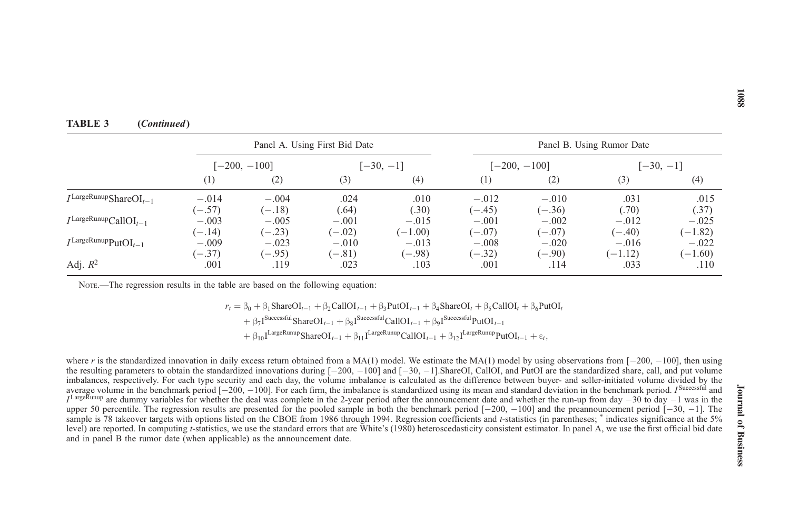|                                               |                     | Panel A. Using First Bid Date |                     |                      |                     | Panel B. Using Rumor Date |                     |                      |  |  |
|-----------------------------------------------|---------------------|-------------------------------|---------------------|----------------------|---------------------|---------------------------|---------------------|----------------------|--|--|
|                                               |                     | $[-200, -100]$                |                     | $[-30, -1]$          |                     | $[-200, -100]$            | $[-30, -1]$         |                      |  |  |
|                                               | (1)                 | (2)                           | (3)                 | (4)                  | (1)                 | (2)                       | (3)                 | (4)                  |  |  |
| $I^{\text{LargeRunup}} \text{ShareOI}_{t-1}$  | $-.014$             | $-.004$                       | .024                | .010                 | $-.012$             | $-.010$                   | .031                | .015                 |  |  |
| $I^{\text{LargeRunup}}\text{CallOI}_{t-1}$    | $(-.57)$<br>$-.003$ | $(-.18)$<br>$-.005$           | (.64)<br>$-.001$    | (.30)<br>$-.015$     | $(-.45)$<br>$-.001$ | $(-.36)$<br>$-.002$       | (.70)<br>$-.012$    | (.37)<br>$-.025$     |  |  |
| $I^{\text{LargeRunup}}$ Put $\text{OI}_{t-1}$ | $(-.14)$<br>$-.009$ | $(-.23)$<br>$-.023$           | $(-.02)$<br>$-.010$ | $(-1.00)$<br>$-.013$ | $(-.07)$<br>$-.008$ | $(-.07)$<br>$-.020$       | $(-.40)$<br>$-.016$ | $(-1.82)$<br>$-.022$ |  |  |
| Adj. $R^2$                                    | $(-.37)$<br>.001    | $(-.95)$<br>.119              | $(-.81)$<br>.023    | $(-.98)$<br>.103     | $(-.32)$<br>.001    | $(-.90)$<br>.114          | $(-1.12)$<br>.033   | $(-1.60)$<br>.110    |  |  |

TABLE 3 (Continued)

NOTE.—The regression results in the table are based on the following equation:

 $r_t = \beta_0 + \beta_1$ ShareOI<sub>t-1</sub> +  $\beta_2$ CallOI<sub>t-1</sub> +  $\beta_3$ PutOI<sub>t-1</sub> +  $\beta_4$ ShareOI<sub>t</sub> +  $\beta_5$ CallOI<sub>t</sub> +  $\beta_6$ PutOI<sub>t</sub>  $+ \beta_7$ ISuccessful ShareOI<sub>t-1</sub></sub>  $+ \beta_8$ I<sup>Successful</sup>CallOI<sub>t-1</sub>  $+ \beta_9$ I<sup>Successful</sup>PutOI<sub>t-1</sub>  $+ \beta_{10}I^{LargeRunup}$ ShareOI<sub>t-1</sub> +  $\beta_{11}I^{LargeRunup}$ CallOI<sub>t-1</sub> +  $\beta_{12}I^{LargeRunup}$ PutOI<sub>t-1</sub> +  $\varepsilon_t$ ,

where r is the standardized innovation in daily excess return obtained from a MA(1) model. We estimate the MA(1) model by using observations from  $[-200, -100]$ , then using the resulting parameters to obtain the standardized innovations during [-200, -100] and [-30, -1].ShareOI, CallOI, and PutOI are the standardized share, call, and put volume imbalances, respectively. For each type security and each day, the volume imbalance is calculated as the difference between buyer- and seller-initiated volume divided by the average volume in the benchmark period  $[-200, -100]$ . For each firm, the imbalance is standardized using its mean and standard deviation in the benchmark period. I Successful and  $I<sup>LargeRunup</sup>$  are dummy variables for whether the deal was complete in the 2-year period after the announcement date and whether the run-up from day  $-30$  to day  $-1$  was in the upper 50 percentile. The regression results are presented for the pooled sample in both the benchmark period  $[-200, -100]$  and the preannouncement period  $[-30, -1]$ . The sample is 78 takeover targets with options listed on the CBOE from 1986 through 1994. Regression coefficients and t-statistics (in parentheses; \* indicates significance at the 5% level) are reported. In computing <sup>t</sup>-statistics, we use the standard errors that are White's (1980) heteroscedasticity consistent estimator. In panel A, we use the first official bid date and in panel B the rumor date (when applicable) as the announcement date.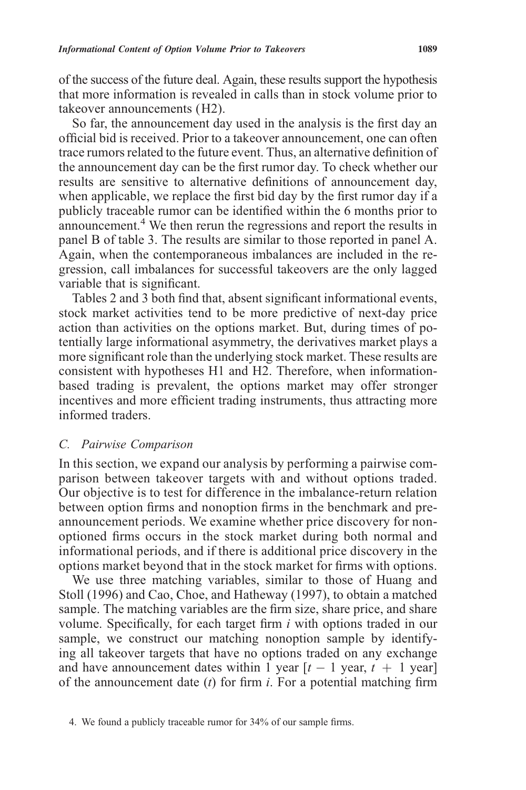of the success of the future deal. Again, these results support the hypothesis that more information is revealed in calls than in stock volume prior to takeover announcements (H2).

So far, the announcement day used in the analysis is the first day an official bid is received. Prior to a takeover announcement, one can often trace rumors related to the future event. Thus, an alternative definition of the announcement day can be the first rumor day. To check whether our results are sensitive to alternative definitions of announcement day, when applicable, we replace the first bid day by the first rumor day if a publicly traceable rumor can be identified within the 6 months prior to announcement.<sup>4</sup> We then rerun the regressions and report the results in panel B of table 3. The results are similar to those reported in panel A. Again, when the contemporaneous imbalances are included in the regression, call imbalances for successful takeovers are the only lagged variable that is significant.

Tables 2 and 3 both find that, absent significant informational events, stock market activities tend to be more predictive of next-day price action than activities on the options market. But, during times of potentially large informational asymmetry, the derivatives market plays a more significant role than the underlying stock market. These results are consistent with hypotheses H1 and H2. Therefore, when informationbased trading is prevalent, the options market may offer stronger incentives and more efficient trading instruments, thus attracting more informed traders.

# C. Pairwise Comparison

In this section, we expand our analysis by performing a pairwise comparison between takeover targets with and without options traded. Our objective is to test for difference in the imbalance-return relation between option firms and nonoption firms in the benchmark and preannouncement periods. We examine whether price discovery for nonoptioned firms occurs in the stock market during both normal and informational periods, and if there is additional price discovery in the options market beyond that in the stock market for firms with options.

We use three matching variables, similar to those of Huang and Stoll (1996) and Cao, Choe, and Hatheway (1997), to obtain a matched sample. The matching variables are the firm size, share price, and share volume. Specifically, for each target firm  $i$  with options traded in our sample, we construct our matching nonoption sample by identifying all takeover targets that have no options traded on any exchange and have announcement dates within 1 year  $[t - 1]$  year,  $t + 1$  year] of the announcement date  $(t)$  for firm i. For a potential matching firm

<sup>4.</sup> We found a publicly traceable rumor for 34% of our sample firms.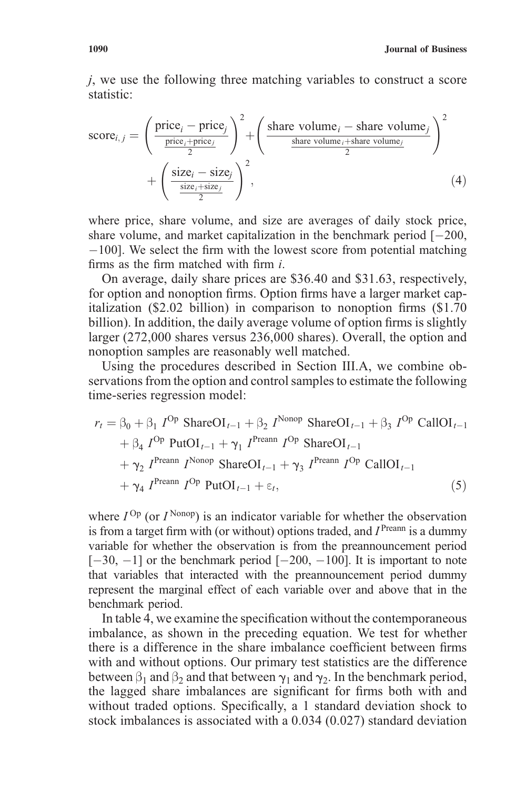j, we use the following three matching variables to construct a score statistic:

score<sub>i,j</sub> = 
$$
\left(\frac{\text{price}_i - \text{price}_j}{\frac{\text{price}_i + \text{price}_j}{2}}\right)^2 + \left(\frac{\text{share volume}_i - \text{share volume}_j}{\frac{\text{share volume}_i + \text{share volume}_j}{2}}\right)^2 + \left(\frac{\text{size}_i - \text{size}_j}{\frac{\text{size}_i + \text{size}_j}{2}}\right)^2
$$
, (4)

where price, share volume, and size are averages of daily stock price, share volume, and market capitalization in the benchmark period  $[-200,$ -100]. We select the firm with the lowest score from potential matching firms as the firm matched with firm  $i$ .

On average, daily share prices are \$36.40 and \$31.63, respectively, for option and nonoption firms. Option firms have a larger market capitalization (\$2.02 billion) in comparison to nonoption firms (\$1.70 billion). In addition, the daily average volume of option firms is slightly larger (272,000 shares versus 236,000 shares). Overall, the option and nonoption samples are reasonably well matched.

Using the procedures described in Section III.A, we combine observations from the option and control samples to estimate the following time-series regression model:

$$
r_{t} = \beta_{0} + \beta_{1} I^{Op} \text{ShareOI}_{t-1} + \beta_{2} I^{Nonop} \text{ShareOI}_{t-1} + \beta_{3} I^{Op} \text{CallOI}_{t-1} + \beta_{4} I^{Op} \text{PutOI}_{t-1} + \gamma_{1} I^{Pream} I^{Op} \text{ShareOI}_{t-1} + \gamma_{2} I^{Pream} I^{Nonop} \text{ShareOI}_{t-1} + \gamma_{3} I^{Pream} I^{Op} \text{CallOI}_{t-1} + \gamma_{4} I^{Pream} I^{Op} \text{PutOI}_{t-1} + \varepsilon_{t},
$$
\n(5)

where  $I^{Op}$  (or  $I^{Nonop}$ ) is an indicator variable for whether the observation is from a target firm with (or without) options traded, and  $I<sup>Preann</sup>$  is a dummy variable for whether the observation is from the preannouncement period  $[-30, -1]$  or the benchmark period  $[-200, -100]$ . It is important to note that variables that interacted with the preannouncement period dummy represent the marginal effect of each variable over and above that in the benchmark period.

In table 4, we examine the specification without the contemporaneous imbalance, as shown in the preceding equation. We test for whether there is a difference in the share imbalance coefficient between firms with and without options. Our primary test statistics are the difference between  $\beta_1$  and  $\beta_2$  and that between  $\gamma_1$  and  $\gamma_2$ . In the benchmark period, the lagged share imbalances are significant for firms both with and without traded options. Specifically, a 1 standard deviation shock to stock imbalances is associated with a 0.034 (0.027) standard deviation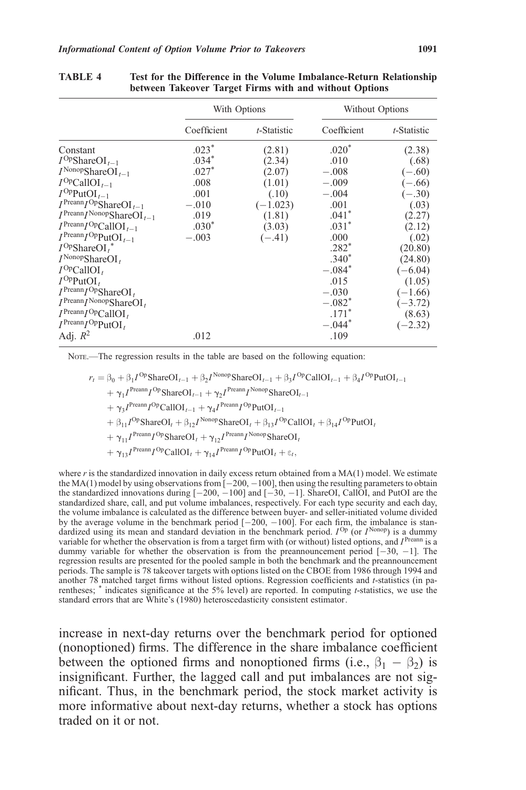|                                                              | With Options |             | Without Options  |             |
|--------------------------------------------------------------|--------------|-------------|------------------|-------------|
|                                                              | Coefficient  | t-Statistic | Coefficient      | t-Statistic |
| Constant                                                     | $.023*$      | (2.81)      | $.020*$          | (2.38)      |
| $I^{Op}ShareOI_{t-1}$                                        | $.034*$      | (2.34)      | .010             | (.68)       |
| $I^{\text{Nonop}}$ ShareOI <sub>t-1</sub>                    | $.027*$      | (2.07)      | $-.008$          | $(-.60)$    |
| $I^{\text{OpCallOI}}_{t-1}$                                  | .008         | (1.01)      | $-.009$          | $(-.66)$    |
| $I^{Op}PutOI_{t-1}$                                          | .001         | (.10)       | $-.004$          | $(-.30)$    |
| $I^{\rm Pream} I^{\rm Op} {\rm Share} {\rm OI}_{t-1}$        | $-.010$      | $(-1.023)$  | .001             | (.03)       |
| $I$ Preann $I$ NonopShareOI $_{t-1}$                         | .019         | (1.81)      | $.041*$          | (2.27)      |
| $I$ Preann $I$ OpCallOI $_{t-1}$                             | $.030*$      | (3.03)      | $.031*$          | (2.12)      |
| $I^{\text{Preann}} I^{\text{Op}} \text{Put} \text{OI}_{t-1}$ | $-.003$      | $(-.41)$    | .000             | (.02)       |
| $I^{Op}$ ShareOI <sub>t</sub> *                              |              |             | $.282*$          | (20.80)     |
| $I^{\text{Nonop}}$ ShareOI <sub>t</sub>                      |              |             | $.340^{\degree}$ | (24.80)     |
| $I^{Op}$ CallOI <sub>t</sub>                                 |              |             | $-.084^{\circ}$  | $(-6.04)$   |
| $I^{Op}PutOI_{t}$                                            |              |             | .015             | (1.05)      |
| $I^{\text{Preann}} I^{\text{Op}} \text{ShareOI}_t$           |              |             | $-.030$          | $(-1.66)$   |
| $I$ Preann $I$ Nonop $\text{ShareOI}_t$                      |              |             | $-.082*$         | $(-3.72)$   |
| $I^{\text{Preann}} I^{\text{Op}} \text{CallOI}_t$            |              |             | $.171*$          | (8.63)      |
| $I^{\text{Preann}} I^{\text{Op}} \text{Put} \text{OI}_t$     |              |             | $-.044"$         | $(-2.32)$   |
| Adj. $R^2$                                                   | .012         |             | .109             |             |

TABLE 4 Test for the Difference in the Volume Imbalance-Return Relationship between Takeover Target Firms with and without Options

NOTE.—The regression results in the table are based on the following equation:

$$
r_{t} = \beta_{0} + \beta_{1}I^{Op} \text{ShareOL}_{t-1} + \beta_{2}I^{\text{Nonop}} \text{ShareOL}_{t-1} + \beta_{3}I^{Op} \text{CallOL}_{t-1} + \beta_{4}I^{Op} \text{PutOL}_{t-1} + \gamma_{1}I^{\text{Preann}}I^{Op} \text{ShareOL}_{t-1} + \gamma_{2}I^{\text{Preann}}I^{\text{Nonop}} \text{ShareOL}_{t-1} + \gamma_{3}I^{\text{Preann}}I^{Op} \text{CallOL}_{t-1} + \gamma_{4}I^{\text{Preann}}I^{Op} \text{PutOL}_{t-1} + \beta_{11}I^{Op} \text{ShareOL}_{t} + \beta_{12}I^{\text{Nonop}} \text{ShareOL}_{t} + \beta_{13}I^{Op} \text{CallOL}_{t} + \beta_{14}I^{Op} \text{PutOL}_{t} + \gamma_{11}I^{\text{Preann}}I^{Op} \text{ShareOL}_{t} + \gamma_{12}I^{\text{Preann}}I^{\text{Nonop}} \text{ShareOL}_{t} + \gamma_{13}I^{\text{Preann}}I^{Op} \text{CallOL}_{t} + \gamma_{14}I^{\text{Preann}}I^{Op} \text{PutOL}_{t} + \epsilon_{t},
$$

where r is the standardized innovation in daily excess return obtained from a MA(1) model. We estimate the  $MA(1)$  model by using observations from  $[-200, -100]$ , then using the resulting parameters to obtain the standardized innovations during  $[-200, -100]$  and  $[-30, -1]$ . ShareOI, CallOI, and PutOI are the standardized share, call, and put volume imbalances, respectively. For each type security and each day, the volume imbalance is calculated as the difference between buyer- and seller-initiated volume divided by the average volume in the benchmark period  $[-200, -100]$ . For each firm, the imbalance is standardized using its mean and standard deviation in the benchmark period.  $I^{Op}$  (or  $I^{Nonop}$ ) is a dummy variable for whether the observation is from a target firm with (or without) listed options, and I Preann is a dummy variable for whether the observation is from the preannouncement period  $[-30, -1]$ . The regression results are presented for the pooled sample in both the benchmark and the preannouncement periods. The sample is 78 takeover targets with options listed on the CBOE from 1986 through 1994 and another 78 matched target firms without listed options. Regression coefficients and t-statistics (in parentheses;  $*$  indicates significance at the 5% level) are reported. In computing *t*-statistics, we use the standard errors that are White's (1980) heteroscedasticity consistent estimator.

increase in next-day returns over the benchmark period for optioned (nonoptioned) firms. The difference in the share imbalance coefficient between the optioned firms and nonoptioned firms (i.e.,  $\beta_1 - \beta_2$ ) is insignificant. Further, the lagged call and put imbalances are not significant. Thus, in the benchmark period, the stock market activity is more informative about next-day returns, whether a stock has options traded on it or not.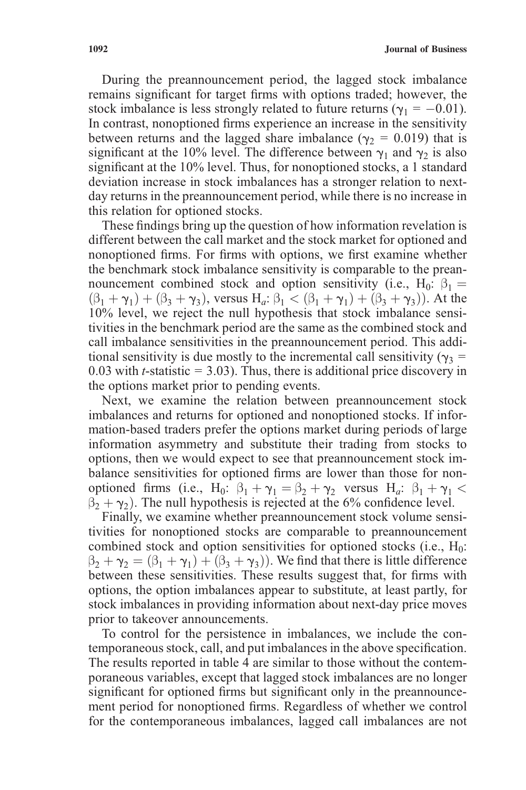1092 Journal of Business

During the preannouncement period, the lagged stock imbalance remains significant for target firms with options traded; however, the stock imbalance is less strongly related to future returns ( $\gamma_1 = -0.01$ ). In contrast, nonoptioned firms experience an increase in the sensitivity between returns and the lagged share imbalance ( $\gamma_2$  = 0.019) that is significant at the 10% level. The difference between  $\gamma_1$  and  $\gamma_2$  is also significant at the 10% level. Thus, for nonoptioned stocks, a 1 standard deviation increase in stock imbalances has a stronger relation to nextday returns in the preannouncement period, while there is no increase in this relation for optioned stocks.

These findings bring up the question of how information revelation is different between the call market and the stock market for optioned and nonoptioned firms. For firms with options, we first examine whether the benchmark stock imbalance sensitivity is comparable to the preannouncement combined stock and option sensitivity (i.e.,  $H_0$ :  $\beta_1$  =  $(\beta_1 + \gamma_1) + (\beta_3 + \gamma_3)$ , versus H<sub>a</sub>:  $\beta_1 < (\beta_1 + \gamma_1) + (\beta_3 + \gamma_3)$ ). At the 10% level, we reject the null hypothesis that stock imbalance sensitivities in the benchmark period are the same as the combined stock and call imbalance sensitivities in the preannouncement period. This additional sensitivity is due mostly to the incremental call sensitivity ( $\gamma_3$  = 0.03 with *t*-statistic = 3.03). Thus, there is additional price discovery in the options market prior to pending events.

Next, we examine the relation between preannouncement stock imbalances and returns for optioned and nonoptioned stocks. If information-based traders prefer the options market during periods of large information asymmetry and substitute their trading from stocks to options, then we would expect to see that preannouncement stock imbalance sensitivities for optioned firms are lower than those for nonoptioned firms (i.e., H<sub>0</sub>:  $\beta_1 + \gamma_1 = \beta_2 + \gamma_2$  versus H<sub>a</sub>:  $\beta_1 + \gamma_1$  <  $\beta_2 + \gamma_2$ ). The null hypothesis is rejected at the 6% confidence level.

Finally, we examine whether preannouncement stock volume sensitivities for nonoptioned stocks are comparable to preannouncement combined stock and option sensitivities for optioned stocks (i.e.,  $H_0$ :  $\beta_2 + \gamma_2 = (\beta_1 + \gamma_1) + (\beta_3 + \gamma_3)$ . We find that there is little difference between these sensitivities. These results suggest that, for firms with options, the option imbalances appear to substitute, at least partly, for stock imbalances in providing information about next-day price moves prior to takeover announcements.

To control for the persistence in imbalances, we include the contemporaneous stock, call, and put imbalances in the above specification. The results reported in table 4 are similar to those without the contemporaneous variables, except that lagged stock imbalances are no longer significant for optioned firms but significant only in the preannouncement period for nonoptioned firms. Regardless of whether we control for the contemporaneous imbalances, lagged call imbalances are not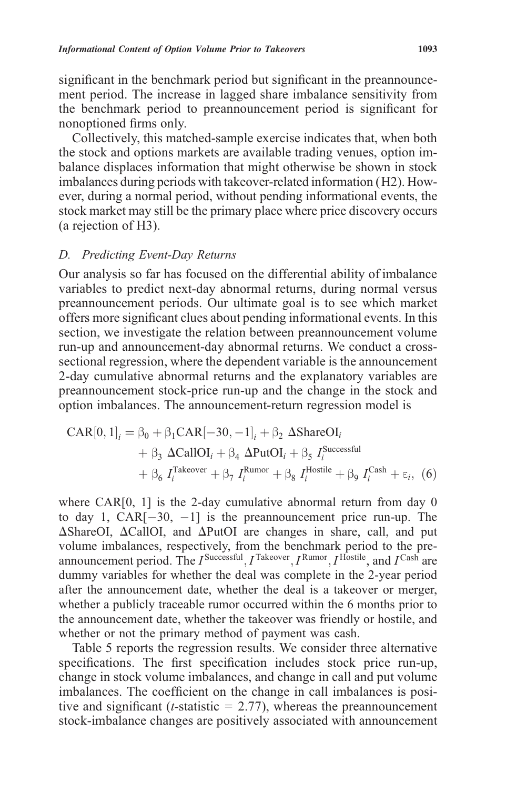significant in the benchmark period but significant in the preannouncement period. The increase in lagged share imbalance sensitivity from the benchmark period to preannouncement period is significant for nonoptioned firms only.

Collectively, this matched-sample exercise indicates that, when both the stock and options markets are available trading venues, option imbalance displaces information that might otherwise be shown in stock imbalances during periods with takeover-related information (H2). However, during a normal period, without pending informational events, the stock market may still be the primary place where price discovery occurs (a rejection of H3).

#### D. Predicting Event-Day Returns

Our analysis so far has focused on the differential ability of imbalance variables to predict next-day abnormal returns, during normal versus preannouncement periods. Our ultimate goal is to see which market offers more significant clues about pending informational events. In this section, we investigate the relation between preannouncement volume run-up and announcement-day abnormal returns. We conduct a crosssectional regression, where the dependent variable is the announcement 2-day cumulative abnormal returns and the explanatory variables are preannouncement stock-price run-up and the change in the stock and option imbalances. The announcement-return regression model is

$$
CAR[0, 1]_i = \beta_0 + \beta_1 CAR[-30, -1]_i + \beta_2 \ \Delta \text{ShareOI}_i
$$
  
+  $\beta_3 \ \Delta \text{CallOI}_i + \beta_4 \ \Delta \text{PutOI}_i + \beta_5 \ I_i^{\text{Successful}}$   
+  $\beta_6 \ I_i^{\text{Takeover}} + \beta_7 \ I_i^{\text{Runor}} + \beta_8 \ I_i^{\text{Hostile}} + \beta_9 \ I_i^{\text{Cash}} + \epsilon_i$ , (6)

where CAR[0, 1] is the 2-day cumulative abnormal return from day 0 to day 1,  $CAR[-30, -1]$  is the preannouncement price run-up. The  $\Delta$ ShareOI,  $\Delta$ CallOI, and  $\Delta$ PutOI are changes in share, call, and put volume imbalances, respectively, from the benchmark period to the preannouncement period. The  $I^{\text{Successful}}, I^{\text{Takeover}}, I^{\text{Runor}}, I^{\text{Hostile}},$  and  $I^{\text{Cash}}$  are dummy variables for whether the deal was complete in the 2-year period after the announcement date, whether the deal is a takeover or merger, whether a publicly traceable rumor occurred within the 6 months prior to the announcement date, whether the takeover was friendly or hostile, and whether or not the primary method of payment was cash.

Table 5 reports the regression results. We consider three alternative specifications. The first specification includes stock price run-up, change in stock volume imbalances, and change in call and put volume imbalances. The coefficient on the change in call imbalances is positive and significant (*t*-statistic  $= 2.77$ ), whereas the preannouncement stock-imbalance changes are positively associated with announcement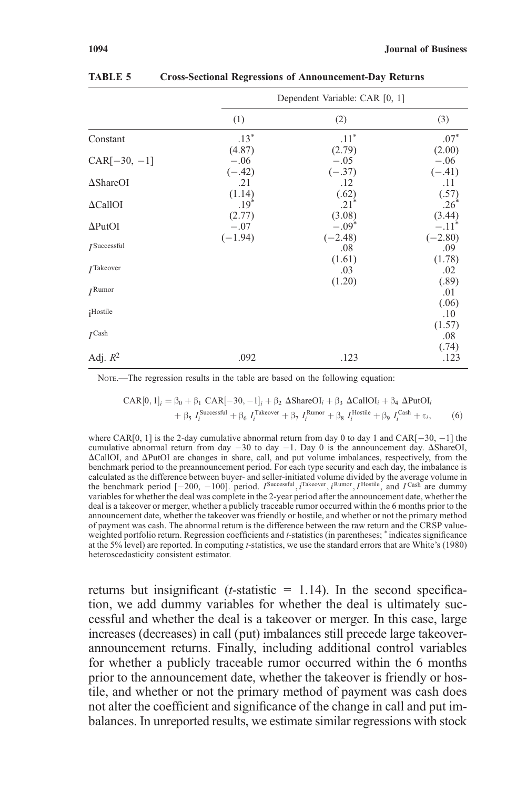|                  |                    | Dependent Variable: CAR [0, 1] |                    |
|------------------|--------------------|--------------------------------|--------------------|
|                  | (1)                | (2)                            | (3)                |
| Constant         | $.13*$<br>(4.87)   | $.11*$<br>(2.79)               | $.07*$<br>(2.00)   |
| $CAR[-30, -1]$   | $-.06$<br>$(-.42)$ | $-.05$<br>$(-.37)$             | $-.06$<br>$(-.41)$ |
| $\Delta$ ShareOI | .21<br>(1.14)      | .12                            | .11                |
| $\Delta$ CallOI  | $.19*$             | (.62)<br>$.21*$                | (.57)<br>$.26*$    |
| $\Delta$ PutOI   | (2.77)<br>$-.07$   | (3.08)<br>$-.09*$              | (3.44)<br>$-.11"$  |
| $I$ Successful   | $(-1.94)$          | $(-2.48)$<br>.08               | $(-2.80)$<br>.09   |
| $I$ Takeover     |                    | (1.61)<br>.03                  | (1.78)<br>.02      |
| $I$ Rumor        |                    | (1.20)                         | (.89)<br>.01       |
| <i>i</i> Hostile |                    |                                | (.06)<br>.10       |
| $I$ Cash         |                    |                                | (1.57)<br>.08      |
| Adj. $R^2$       | .092               | .123                           | (.74)<br>.123      |

TABLE 5 Cross-Sectional Regressions of Announcement-Day Returns

NOTE.—The regression results in the table are based on the following equation:

$$
CAR[0, 1]_i = \beta_0 + \beta_1 CAR[-30, -1]_i + \beta_2 \ \Delta ShareOI_i + \beta_3 \ \Delta CallOI_i + \beta_4 \ \Delta PutOI_i
$$
  
+ 
$$
\beta_5 I_i^{Succeed} + \beta_6 I_i^{Taleover} + \beta_7 I_i^{Rumor} + \beta_8 I_i^{Homor} + \beta_8 I_i^{ISelle} + \beta_9 I_i^{Cash} + \epsilon_i,
$$
 (6)

where  $CAR[0, 1]$  is the 2-day cumulative abnormal return from day 0 to day 1 and  $CAR[-30, -1]$  the cumulative abnormal return from day  $-30$  to day  $-1$ . Day 0 is the announcement day.  $\Delta$ ShareOI, DCallOI, and DPutOI are changes in share, call, and put volume imbalances, respectively, from the benchmark period to the preannouncement period. For each type security and each day, the imbalance is calculated as the difference between buyer- and seller-initiated volume divided by the average volume in<br>the benchmark period  $[-200, -100]$ . period.  $I^{Suecessful}$ ,  $I^{Takcover}$ ,  $I^{Rumor}$ ,  $I^{Hostilte}$ , and  $I^{Cash}$  are dummy variables for whether the deal was complete in the 2-year period after the announcement date, whether the deal is a takeover or merger, whether a publicly traceable rumor occurred within the 6 months prior to the announcement date, whether the takeover was friendly or hostile, and whether or not the primary method of payment was cash. The abnormal return is the difference between the raw return and the CRSP valueweighted portfolio return. Regression coefficients and t-statistics (in parentheses; \* indicates significance at the 5% level) are reported. In computing t-statistics, we use the standard errors that are White's (1980) heteroscedasticity consistent estimator.

returns but insignificant (*t*-statistic  $= 1.14$ ). In the second specification, we add dummy variables for whether the deal is ultimately successful and whether the deal is a takeover or merger. In this case, large increases (decreases) in call (put) imbalances still precede large takeoverannouncement returns. Finally, including additional control variables for whether a publicly traceable rumor occurred within the 6 months prior to the announcement date, whether the takeover is friendly or hostile, and whether or not the primary method of payment was cash does not alter the coefficient and significance of the change in call and put imbalances. In unreported results, we estimate similar regressions with stock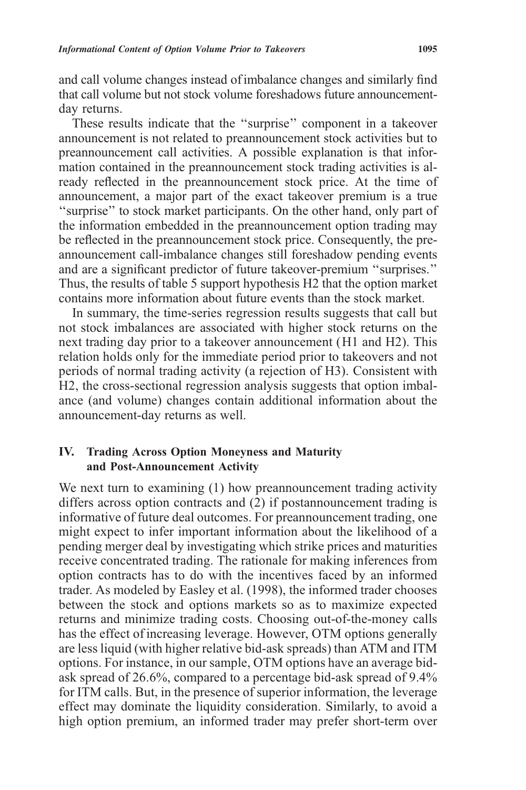and call volume changes instead of imbalance changes and similarly find that call volume but not stock volume foreshadows future announcementday returns.

These results indicate that the ''surprise'' component in a takeover announcement is not related to preannouncement stock activities but to preannouncement call activities. A possible explanation is that information contained in the preannouncement stock trading activities is already reflected in the preannouncement stock price. At the time of announcement, a major part of the exact takeover premium is a true ''surprise'' to stock market participants. On the other hand, only part of the information embedded in the preannouncement option trading may be reflected in the preannouncement stock price. Consequently, the preannouncement call-imbalance changes still foreshadow pending events and are a significant predictor of future takeover-premium ''surprises.'' Thus, the results of table 5 support hypothesis H2 that the option market contains more information about future events than the stock market.

In summary, the time-series regression results suggests that call but not stock imbalances are associated with higher stock returns on the next trading day prior to a takeover announcement (H1 and H2). This relation holds only for the immediate period prior to takeovers and not periods of normal trading activity (a rejection of H3). Consistent with H2, the cross-sectional regression analysis suggests that option imbalance (and volume) changes contain additional information about the announcement-day returns as well.

# IV. Trading Across Option Moneyness and Maturity and Post-Announcement Activity

We next turn to examining (1) how preannouncement trading activity differs across option contracts and (2) if postannouncement trading is informative of future deal outcomes. For preannouncement trading, one might expect to infer important information about the likelihood of a pending merger deal by investigating which strike prices and maturities receive concentrated trading. The rationale for making inferences from option contracts has to do with the incentives faced by an informed trader. As modeled by Easley et al. (1998), the informed trader chooses between the stock and options markets so as to maximize expected returns and minimize trading costs. Choosing out-of-the-money calls has the effect of increasing leverage. However, OTM options generally are less liquid (with higher relative bid-ask spreads) than ATM and ITM options. For instance, in our sample, OTM options have an average bidask spread of 26.6%, compared to a percentage bid-ask spread of 9.4% for ITM calls. But, in the presence of superior information, the leverage effect may dominate the liquidity consideration. Similarly, to avoid a high option premium, an informed trader may prefer short-term over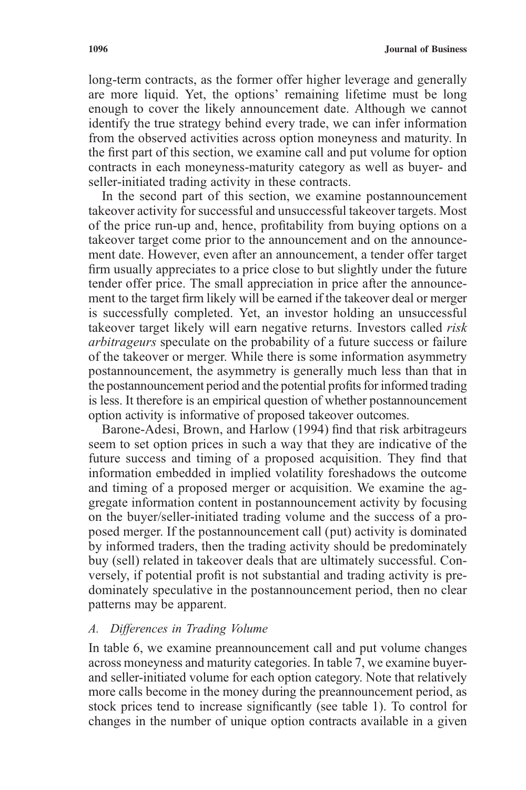1096 Journal of Business

long-term contracts, as the former offer higher leverage and generally are more liquid. Yet, the options' remaining lifetime must be long enough to cover the likely announcement date. Although we cannot identify the true strategy behind every trade, we can infer information from the observed activities across option moneyness and maturity. In the first part of this section, we examine call and put volume for option contracts in each moneyness-maturity category as well as buyer- and seller-initiated trading activity in these contracts.

In the second part of this section, we examine postannouncement takeover activity for successful and unsuccessful takeover targets. Most of the price run-up and, hence, profitability from buying options on a takeover target come prior to the announcement and on the announcement date. However, even after an announcement, a tender offer target firm usually appreciates to a price close to but slightly under the future tender offer price. The small appreciation in price after the announcement to the target firm likely will be earned if the takeover deal or merger is successfully completed. Yet, an investor holding an unsuccessful takeover target likely will earn negative returns. Investors called risk arbitrageurs speculate on the probability of a future success or failure of the takeover or merger. While there is some information asymmetry postannouncement, the asymmetry is generally much less than that in the postannouncement period and the potential profits for informed trading is less. It therefore is an empirical question of whether postannouncement option activity is informative of proposed takeover outcomes.

Barone-Adesi, Brown, and Harlow (1994) find that risk arbitrageurs seem to set option prices in such a way that they are indicative of the future success and timing of a proposed acquisition. They find that information embedded in implied volatility foreshadows the outcome and timing of a proposed merger or acquisition. We examine the aggregate information content in postannouncement activity by focusing on the buyer/seller-initiated trading volume and the success of a proposed merger. If the postannouncement call (put) activity is dominated by informed traders, then the trading activity should be predominately buy (sell) related in takeover deals that are ultimately successful. Conversely, if potential profit is not substantial and trading activity is predominately speculative in the postannouncement period, then no clear patterns may be apparent.

# A. Differences in Trading Volume

In table 6, we examine preannouncement call and put volume changes across moneyness and maturity categories. In table 7, we examine buyerand seller-initiated volume for each option category. Note that relatively more calls become in the money during the preannouncement period, as stock prices tend to increase significantly (see table 1). To control for changes in the number of unique option contracts available in a given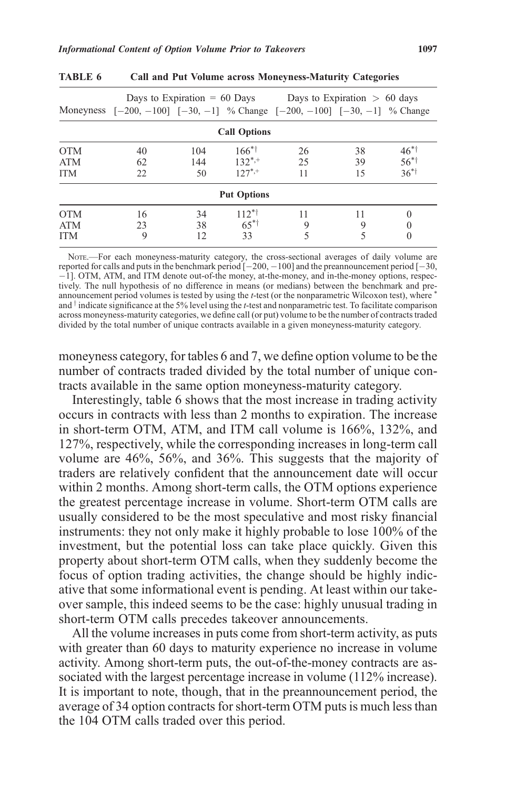|                                        | Moneyness $[-200, -100]$ $[-30, -1]$ % Change $[-200, -100]$ $[-30, -1]$ % Change |                  |                                          | Days to Expiration = 60 Days Days to Expiration $> 60$ days |                |                                  |
|----------------------------------------|-----------------------------------------------------------------------------------|------------------|------------------------------------------|-------------------------------------------------------------|----------------|----------------------------------|
|                                        |                                                                                   |                  | <b>Call Options</b>                      |                                                             |                |                                  |
| <b>OTM</b><br>ATM<br><b>ITM</b>        | 40<br>62<br>22                                                                    | 104<br>144<br>50 | $166^{*+}$<br>$132^{*,+}$<br>$127^{*,+}$ | 26<br>25<br>11                                              | 38<br>39<br>15 | $46^{*}$<br>$56^{*}$<br>$36^{*}$ |
|                                        |                                                                                   |                  | <b>Put Options</b>                       |                                                             |                |                                  |
| <b>OTM</b><br><b>ATM</b><br><b>ITM</b> | 16<br>23<br>9                                                                     | 34<br>38<br>12   | $112^{*+}$<br>$65*1$<br>33               | 11<br>9                                                     | 11<br>9        |                                  |

| TABLE 6 |  |  | <b>Call and Put Volume across Moneyness-Maturity Categories</b> |  |
|---------|--|--|-----------------------------------------------------------------|--|
|---------|--|--|-----------------------------------------------------------------|--|

Nore.-- For each moneyness-maturity category, the cross-sectional averages of daily volume are reported for calls and puts in the benchmark period  $[-200, -100]$  and the preannouncement period  $[-20,$ -1]. OTM, ATM, and ITM denote out-of-the money, at-the-money, and in-the-money options, respectively. The null hypothesis of no difference in means (or medians) between the benchmark and preannouncement period volumes is tested by using the t-test (or the nonparametric Wilcoxon test), where \* and  $\dagger$  indicate significance at the 5% level using the t-test and nonparametric test. To facilitate comparison across moneyness-maturity categories, we define call (or put) volume to be the number of contracts traded divided by the total number of unique contracts available in a given moneyness-maturity category.

moneyness category, for tables 6 and 7, we define option volume to be the number of contracts traded divided by the total number of unique contracts available in the same option moneyness-maturity category.

Interestingly, table 6 shows that the most increase in trading activity occurs in contracts with less than 2 months to expiration. The increase in short-term OTM, ATM, and ITM call volume is 166%, 132%, and 127%, respectively, while the corresponding increases in long-term call volume are 46%, 56%, and 36%. This suggests that the majority of traders are relatively confident that the announcement date will occur within 2 months. Among short-term calls, the OTM options experience the greatest percentage increase in volume. Short-term OTM calls are usually considered to be the most speculative and most risky financial instruments: they not only make it highly probable to lose 100% of the investment, but the potential loss can take place quickly. Given this property about short-term OTM calls, when they suddenly become the focus of option trading activities, the change should be highly indicative that some informational event is pending. At least within our takeover sample, this indeed seems to be the case: highly unusual trading in short-term OTM calls precedes takeover announcements.

All the volume increases in puts come from short-term activity, as puts with greater than 60 days to maturity experience no increase in volume activity. Among short-term puts, the out-of-the-money contracts are associated with the largest percentage increase in volume (112% increase). It is important to note, though, that in the preannouncement period, the average of 34 option contracts for short-term OTM puts is much less than the 104 OTM calls traded over this period.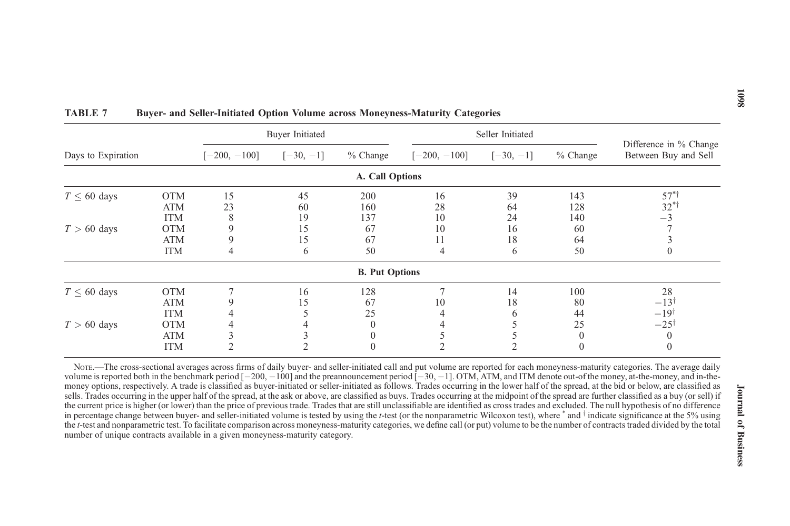|                    |            |                | <b>Buyer Initiated</b> |                       |                | Seller Initiated |          |                                                |
|--------------------|------------|----------------|------------------------|-----------------------|----------------|------------------|----------|------------------------------------------------|
| Days to Expiration |            | $[-200, -100]$ | $[-30, -1]$            | $%$ Change            | $[-200, -100]$ | $[-30, -1]$      | % Change | Difference in % Change<br>Between Buy and Sell |
|                    |            |                |                        | A. Call Options       |                |                  |          |                                                |
| $T \leq 60$ days   | <b>OTM</b> | 15             | 45                     | 200                   | 16             | 39               | 143      | $57$ <sup>*†</sup>                             |
|                    | <b>ATM</b> | 23             | 60                     | 160                   | 28             | 64               | 128      | $32^{*+}$                                      |
|                    | <b>ITM</b> | 8              | 19                     | 137                   | 10             | 24               | 140      | $-3$                                           |
| $T > 60$ days      | <b>OTM</b> |                | 15                     | 67                    | 10             | 16               | 60       |                                                |
|                    | ATM        |                | 15                     | 67                    |                | 18               | 64       |                                                |
|                    | <b>ITM</b> | 4              | 6                      | 50                    | 4              | 6                | 50       | $\theta$                                       |
|                    |            |                |                        | <b>B.</b> Put Options |                |                  |          |                                                |
| $T \leq 60$ days   | <b>OTM</b> |                | 16                     | 128                   |                | 14               | 100      | 28                                             |
|                    | ATM        |                | 15                     | 67                    | 10             | 18               | 80       | $-13^{\dagger}$                                |
|                    | <b>ITM</b> |                |                        | 25                    |                |                  | 44       | $-19†$                                         |
| $T > 60$ days      | <b>OTM</b> |                |                        |                       |                |                  | 25       | $-25^{\dagger}$                                |
|                    | <b>ATM</b> |                |                        |                       |                |                  |          |                                                |
|                    | <b>ITM</b> |                |                        |                       |                |                  |          | $\left($                                       |

TABLE 7 Buyer- and Seller-Initiated Option Volume across Moneyness-Maturity Categories

Nore.—The cross-sectional averages across firms of daily buyer- and seller-initiated call and put volume are reported for each moneyness-maturity categories. The average daily volume is reported both in the benchmark period [-200, -100] and the preannouncement period [-30, -1]. OTM, ATM, and ITM denote out-of the money, at-the-money, and in-themoney options, respectively. A trade is classified as buyer-initiated or seller-initiated as follows. Trades occurring in the lower half of the spread, at the bid or below, are classified as sells. Trades occurring in the upper half of the spread, at the ask or above, are classified as buys. Trades occurring at the midpoint of the spread are further classified as a buy (or sell) if the current price is higher (or lower) than the price of previous trade. Trades that are still unclassifiable are identified as cross trades and excluded. The null hypothesis of no difference in percentage change between buyer- and seller-initiated volume is tested by using the t-test (or the nonparametric Wilcoxon test), where  $*$  and  $\dagger$  indicate significance at the 5% using the *t*-test and nonparametric test. To facilitate comparison across moneyness-maturity categories, we define call (or put) volume to be the number of contracts traded divided by the total number of unique contracts available in <sup>a</sup> given moneyness-maturity category.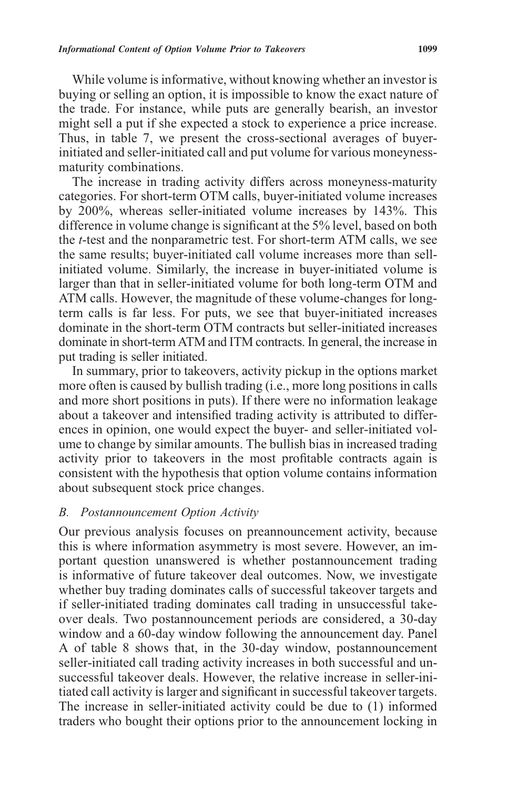While volume is informative, without knowing whether an investor is buying or selling an option, it is impossible to know the exact nature of the trade. For instance, while puts are generally bearish, an investor might sell a put if she expected a stock to experience a price increase. Thus, in table 7, we present the cross-sectional averages of buyerinitiated and seller-initiated call and put volume for various moneynessmaturity combinations.

The increase in trading activity differs across moneyness-maturity categories. For short-term OTM calls, buyer-initiated volume increases by 200%, whereas seller-initiated volume increases by 143%. This difference in volume change is significant at the 5% level, based on both the t-test and the nonparametric test. For short-term ATM calls, we see the same results; buyer-initiated call volume increases more than sellinitiated volume. Similarly, the increase in buyer-initiated volume is larger than that in seller-initiated volume for both long-term OTM and ATM calls. However, the magnitude of these volume-changes for longterm calls is far less. For puts, we see that buyer-initiated increases dominate in the short-term OTM contracts but seller-initiated increases dominate in short-term ATM and ITM contracts. In general, the increase in put trading is seller initiated.

In summary, prior to takeovers, activity pickup in the options market more often is caused by bullish trading (i.e., more long positions in calls and more short positions in puts). If there were no information leakage about a takeover and intensified trading activity is attributed to differences in opinion, one would expect the buyer- and seller-initiated volume to change by similar amounts. The bullish bias in increased trading activity prior to takeovers in the most profitable contracts again is consistent with the hypothesis that option volume contains information about subsequent stock price changes.

# B. Postannouncement Option Activity

Our previous analysis focuses on preannouncement activity, because this is where information asymmetry is most severe. However, an important question unanswered is whether postannouncement trading is informative of future takeover deal outcomes. Now, we investigate whether buy trading dominates calls of successful takeover targets and if seller-initiated trading dominates call trading in unsuccessful takeover deals. Two postannouncement periods are considered, a 30-day window and a 60-day window following the announcement day. Panel A of table 8 shows that, in the 30-day window, postannouncement seller-initiated call trading activity increases in both successful and unsuccessful takeover deals. However, the relative increase in seller-initiated call activity is larger and significant in successful takeover targets. The increase in seller-initiated activity could be due to (1) informed traders who bought their options prior to the announcement locking in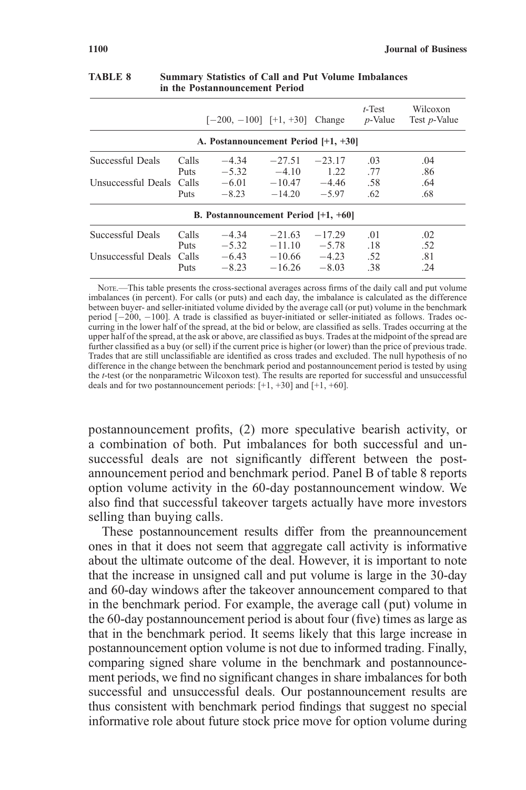|                    |             | $[-200, -100]$ $[+1, +30]$ Change    |          |          | $t$ -Test<br><i>p</i> -Value | Wilcoxon<br>Test p-Value |
|--------------------|-------------|--------------------------------------|----------|----------|------------------------------|--------------------------|
|                    |             | A. Postannouncement Period [+1, +30] |          |          |                              |                          |
| Successful Deals   | Calls       | $-4.34$                              | $-27.51$ | $-23.17$ | .03                          | .04                      |
|                    | <b>Puts</b> | $-5.32$                              | $-4.10$  | 1.22     | .77                          | .86                      |
| Unsuccessful Deals | Calls       | $-6.01$                              | $-10.47$ | $-4.46$  | .58                          | .64                      |
|                    | Puts        | $-8.23$                              | $-14.20$ | $-5.97$  | .62                          | .68                      |
|                    |             | B. Postannouncement Period [+1, +60] |          |          |                              |                          |
| Successful Deals   | Calls       | $-4.34$                              | $-21.63$ | $-17.29$ | .01                          | .02                      |
|                    | <b>Puts</b> | $-5.32$                              | $-11.10$ | $-5.78$  | .18                          | .52                      |
| Unsuccessful Deals | Calls       | $-6.43$                              | $-10.66$ | $-4.23$  | .52                          | .81                      |
|                    | Puts        | $-8.23$                              | $-16.26$ | $-8.03$  | .38                          | .24                      |

TABLE 8 Summary Statistics of Call and Put Volume Imbalances in the Postannouncement Period

Note.—This table presents the cross-sectional averages across firms of the daily call and put volume imbalances (in percent). For calls (or puts) and each day, the imbalance is calculated as the difference between buyer- and seller-initiated volume divided by the average call (or put) volume in the benchmark period  $[-200, -100]$ . A trade is classified as buyer-initiated or seller-initiated as follows. Trades occurring in the lower half of the spread, at the bid or below, are classified as sells. Trades occurring at the upper half of the spread, at the ask or above, are classified as buys. Trades at the midpoint of the spread are further classified as a buy (or sell) if the current price is higher (or lower) than the price of previous trade. Trades that are still unclassifiable are identified as cross trades and excluded. The null hypothesis of no difference in the change between the benchmark period and postannouncement period is tested by using the t-test (or the nonparametric Wilcoxon test). The results are reported for successful and unsuccessful deals and for two postannouncement periods: [+1, +30] and [+1, +60].

postannouncement profits, (2) more speculative bearish activity, or a combination of both. Put imbalances for both successful and unsuccessful deals are not significantly different between the postannouncement period and benchmark period. Panel B of table 8 reports option volume activity in the 60-day postannouncement window. We also find that successful takeover targets actually have more investors selling than buying calls.

These postannouncement results differ from the preannouncement ones in that it does not seem that aggregate call activity is informative about the ultimate outcome of the deal. However, it is important to note that the increase in unsigned call and put volume is large in the 30-day and 60-day windows after the takeover announcement compared to that in the benchmark period. For example, the average call (put) volume in the 60-day postannouncement period is about four (five) times as large as that in the benchmark period. It seems likely that this large increase in postannouncement option volume is not due to informed trading. Finally, comparing signed share volume in the benchmark and postannouncement periods, we find no significant changes in share imbalances for both successful and unsuccessful deals. Our postannouncement results are thus consistent with benchmark period findings that suggest no special informative role about future stock price move for option volume during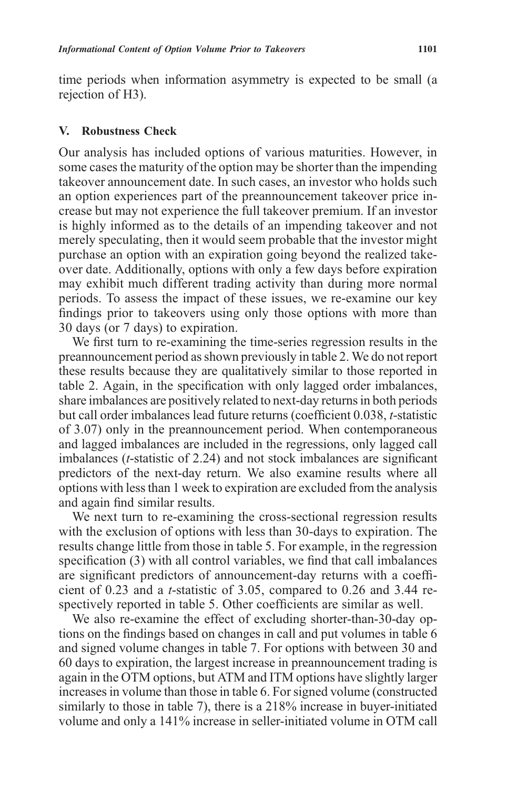time periods when information asymmetry is expected to be small (a rejection of H3).

## V. Robustness Check

Our analysis has included options of various maturities. However, in some cases the maturity of the option may be shorter than the impending takeover announcement date. In such cases, an investor who holds such an option experiences part of the preannouncement takeover price increase but may not experience the full takeover premium. If an investor is highly informed as to the details of an impending takeover and not merely speculating, then it would seem probable that the investor might purchase an option with an expiration going beyond the realized takeover date. Additionally, options with only a few days before expiration may exhibit much different trading activity than during more normal periods. To assess the impact of these issues, we re-examine our key findings prior to takeovers using only those options with more than 30 days (or 7 days) to expiration.

We first turn to re-examining the time-series regression results in the preannouncement period as shown previously in table 2. We do not report these results because they are qualitatively similar to those reported in table 2. Again, in the specification with only lagged order imbalances, share imbalances are positively related to next-day returns in both periods but call order imbalances lead future returns (coefficient 0.038, t-statistic of 3.07) only in the preannouncement period. When contemporaneous and lagged imbalances are included in the regressions, only lagged call imbalances (t-statistic of 2.24) and not stock imbalances are significant predictors of the next-day return. We also examine results where all options with less than 1 week to expiration are excluded from the analysis and again find similar results.

We next turn to re-examining the cross-sectional regression results with the exclusion of options with less than 30-days to expiration. The results change little from those in table 5. For example, in the regression specification (3) with all control variables, we find that call imbalances are significant predictors of announcement-day returns with a coefficient of 0.23 and a t-statistic of 3.05, compared to 0.26 and 3.44 respectively reported in table 5. Other coefficients are similar as well.

We also re-examine the effect of excluding shorter-than-30-day options on the findings based on changes in call and put volumes in table 6 and signed volume changes in table 7. For options with between 30 and 60 days to expiration, the largest increase in preannouncement trading is again in the OTM options, but ATM and ITM options have slightly larger increases in volume than those in table 6. For signed volume (constructed similarly to those in table 7), there is a 218% increase in buyer-initiated volume and only a 141% increase in seller-initiated volume in OTM call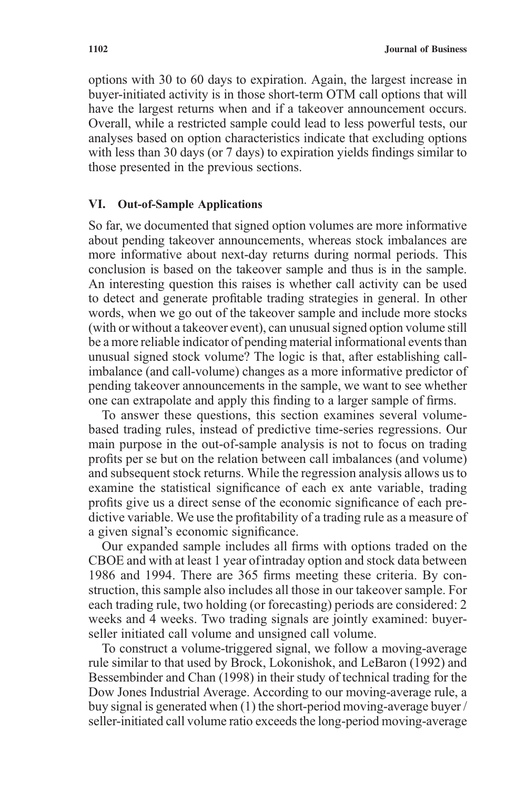options with 30 to 60 days to expiration. Again, the largest increase in buyer-initiated activity is in those short-term OTM call options that will have the largest returns when and if a takeover announcement occurs. Overall, while a restricted sample could lead to less powerful tests, our analyses based on option characteristics indicate that excluding options with less than 30 days (or 7 days) to expiration yields findings similar to those presented in the previous sections.

# VI. Out-of-Sample Applications

So far, we documented that signed option volumes are more informative about pending takeover announcements, whereas stock imbalances are more informative about next-day returns during normal periods. This conclusion is based on the takeover sample and thus is in the sample. An interesting question this raises is whether call activity can be used to detect and generate profitable trading strategies in general. In other words, when we go out of the takeover sample and include more stocks (with or without a takeover event), can unusual signed option volume still be a more reliable indicator of pending material informational events than unusual signed stock volume? The logic is that, after establishing callimbalance (and call-volume) changes as a more informative predictor of pending takeover announcements in the sample, we want to see whether one can extrapolate and apply this finding to a larger sample of firms.

To answer these questions, this section examines several volumebased trading rules, instead of predictive time-series regressions. Our main purpose in the out-of-sample analysis is not to focus on trading profits per se but on the relation between call imbalances (and volume) and subsequent stock returns. While the regression analysis allows us to examine the statistical significance of each ex ante variable, trading profits give us a direct sense of the economic significance of each predictive variable. We use the profitability of a trading rule as a measure of a given signal's economic significance.

Our expanded sample includes all firms with options traded on the CBOE and with at least 1 year ofintraday option and stock data between 1986 and 1994. There are 365 firms meeting these criteria. By construction, this sample also includes all those in our takeover sample. For each trading rule, two holding (or forecasting) periods are considered: 2 weeks and 4 weeks. Two trading signals are jointly examined: buyerseller initiated call volume and unsigned call volume.

To construct a volume-triggered signal, we follow a moving-average rule similar to that used by Brock, Lokonishok, and LeBaron (1992) and Bessembinder and Chan (1998) in their study of technical trading for the Dow Jones Industrial Average. According to our moving-average rule, a buy signal is generated when (1) the short-period moving-average buyer / seller-initiated call volume ratio exceeds the long-period moving-average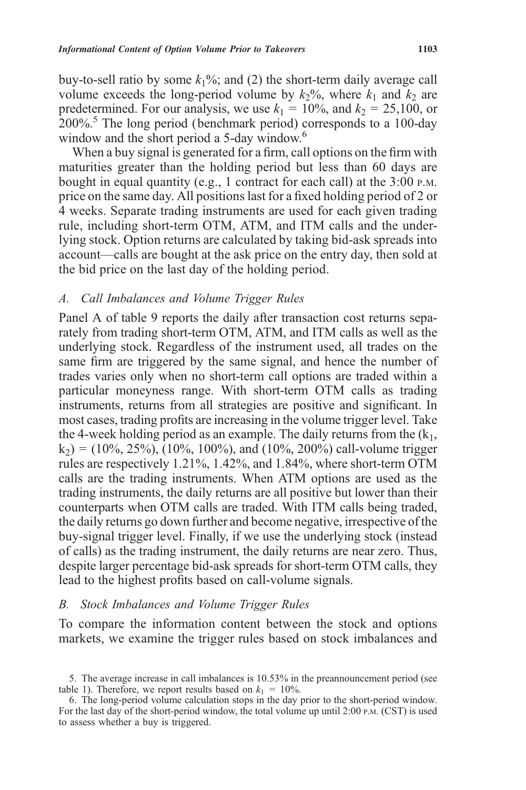buy-to-sell ratio by some  $k_1\%$ ; and (2) the short-term daily average call volume exceeds the long-period volume by  $k_2\%$ , where  $k_1$  and  $k_2$  are predetermined. For our analysis, we use  $k_1 = 10\%$ , and  $k_2 = 25,100$ , or  $200\%$ <sup>5</sup>. The long period (benchmark period) corresponds to a 100-day window and the short period a 5-day window.<sup>6</sup>

When a buy signal is generated for a firm, call options on the firm with maturities greater than the holding period but less than 60 days are bought in equal quantity (e.g., 1 contract for each call) at the 3:00 p.m. price on the same day. All positions last for a fixed holding period of 2 or 4 weeks. Separate trading instruments are used for each given trading rule, including short-term OTM, ATM, and ITM calls and the underlying stock. Option returns are calculated by taking bid-ask spreads into account—calls are bought at the ask price on the entry day, then sold at the bid price on the last day of the holding period.

# A. Call Imbalances and Volume Trigger Rules

Panel A of table 9 reports the daily after transaction cost returns separately from trading short-term OTM, ATM, and ITM calls as well as the underlying stock. Regardless of the instrument used, all trades on the same firm are triggered by the same signal, and hence the number of trades varies only when no short-term call options are traded within a particular moneyness range. With short-term OTM calls as trading instruments, returns from all strategies are positive and significant. In most cases, trading profits are increasing in the volume trigger level. Take the 4-week holding period as an example. The daily returns from the  $(k_1,$  $k_2$ ) = (10%, 25%), (10%, 100%), and (10%, 200%) call-volume trigger rules are respectively 1.21%, 1.42%, and 1.84%, where short-term OTM calls are the trading instruments. When ATM options are used as the trading instruments, the daily returns are all positive but lower than their counterparts when OTM calls are traded. With ITM calls being traded, the daily returns go down further and become negative, irrespective of the buy-signal trigger level. Finally, if we use the underlying stock (instead of calls) as the trading instrument, the daily returns are near zero. Thus, despite larger percentage bid-ask spreads for short-term OTM calls, they lead to the highest profits based on call-volume signals.

# B. Stock Imbalances and Volume Trigger Rules

To compare the information content between the stock and options markets, we examine the trigger rules based on stock imbalances and

<sup>5.</sup> The average increase in call imbalances is 10.53% in the preannouncement period (see table 1). Therefore, we report results based on  $k_1 = 10\%$ .

<sup>6.</sup> The long-period volume calculation stops in the day prior to the short-period window. For the last day of the short-period window, the total volume up until 2:00 p.m. (CST) is used to assess whether a buy is triggered.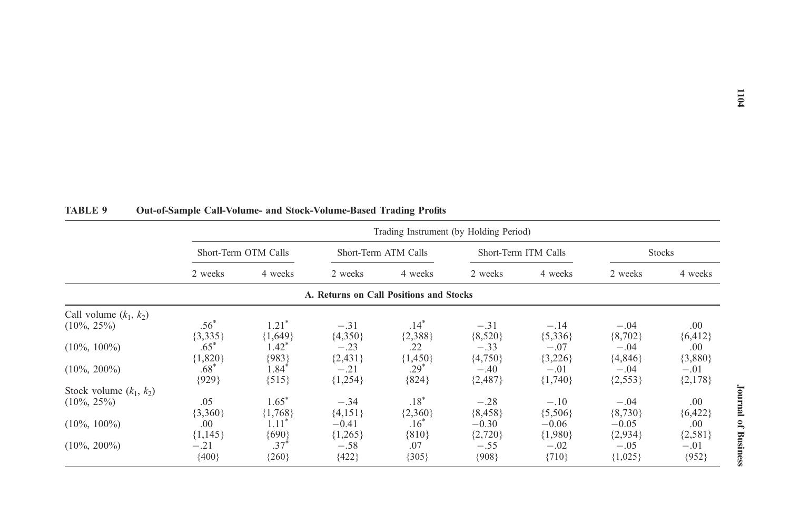|                           |             | Trading Instrument (by Holding Period) |                                         |                      |           |                      |             |               |  |  |  |  |
|---------------------------|-------------|----------------------------------------|-----------------------------------------|----------------------|-----------|----------------------|-------------|---------------|--|--|--|--|
|                           |             | Short-Term OTM Calls                   |                                         | Short-Term ATM Calls |           | Short-Term ITM Calls |             | <b>Stocks</b> |  |  |  |  |
|                           | 2 weeks     | 4 weeks                                | 2 weeks                                 | 4 weeks              | 2 weeks   | 4 weeks              | 2 weeks     | 4 weeks       |  |  |  |  |
|                           |             |                                        | A. Returns on Call Positions and Stocks |                      |           |                      |             |               |  |  |  |  |
| Call volume $(k_1, k_2)$  |             |                                        |                                         |                      |           |                      |             |               |  |  |  |  |
| $(10\%, 25\%)$            | $.56*$      | $1.21*$                                | $-.31$                                  | $.14*$               | $-.31$    | $-.14$               | $-.04$      | .00.          |  |  |  |  |
|                           | ${3,335}$   | ${1,649}$                              | ${4,350}$                               | ${2,388}$            | ${8,520}$ | $\{5,336\}$          | ${8,702}$   | ${6,412}$     |  |  |  |  |
| $(10\%, 100\%)$           | $.65^*$     | $1.42*$                                | $-.23$                                  | .22                  | $-.33$    | $-.07$               | $-.04$      | .00.          |  |  |  |  |
|                           | ${1,820}$   | ${983}$                                | ${2,431}$                               | ${1,450}$            | ${4,750}$ | ${3,226}$            | ${4,846}$   | ${3,880}$     |  |  |  |  |
| $(10\%, 200\%)$           | $.68*$      | $1.84^*$                               | $-.21$                                  | $.29*$               | $-.40$    | $-.01$               | $-.04$      | $-.01$        |  |  |  |  |
|                           | ${929}$     | ${515}$                                | ${1,254}$                               | ${824}$              | ${2,487}$ | ${1,740}$            | $\{2,553\}$ | ${2,178}$     |  |  |  |  |
| Stock volume $(k_1, k_2)$ |             |                                        |                                         |                      |           |                      |             |               |  |  |  |  |
| $(10\%, 25\%)$            | .05         | $1.65*$                                | $-.34$                                  | $.18*$               | $-.28$    | $-.10$               | $-.04$      | .00.          |  |  |  |  |
|                           | $\{3,360\}$ | ${1,768}$                              | $\{4,151\}$                             | ${2,360}$            | ${8,458}$ | ${5,506}$            | ${8,730}$   | ${6,422}$     |  |  |  |  |
| $(10\%, 100\%)$           | .00         | 1.11                                   | $-0.41$                                 | .16 <sup>7</sup>     | $-0.30$   | $-0.06$              | $-0.05$     | .00.          |  |  |  |  |
|                           | ${1,145}$   | ${690}$                                | ${1,265}$                               | ${810}$              | ${2,720}$ | ${1,980}$            | ${2,934}$   | ${2,581}$     |  |  |  |  |
| $(10\%, 200\%)$           | $-.21$      | $.37^{*}$                              | $-.58$                                  | .07                  | $-.55$    | $-.02$               | $-.05$      | $-.01$        |  |  |  |  |
|                           | ${400}$     | ${260}$                                | ${422}$                                 | ${305}$              | ${908}$   | ${710}$              | ${1,025}$   | ${952}$       |  |  |  |  |

TABLE 9 Out-of-Sample Call-Volume- and Stock-Volume-Based Trading Profits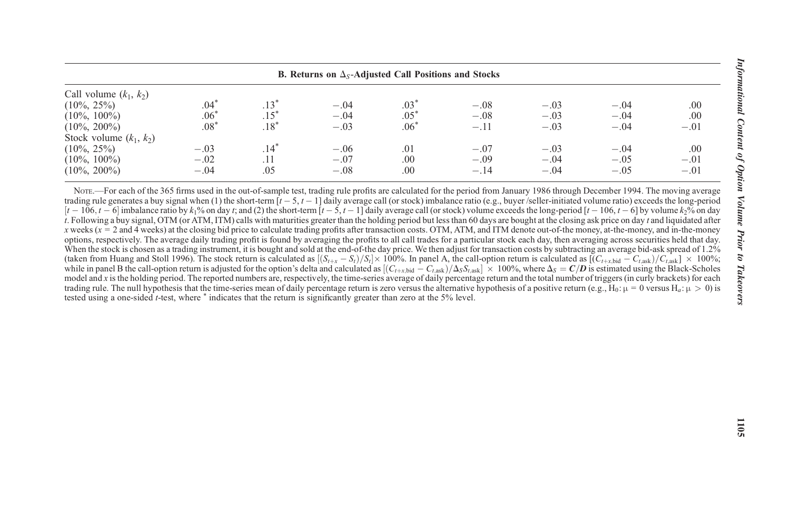|                                                                                   | B. Returns on $\Delta_S$ -Adjusted Call Positions and Stocks |                            |                            |                                 |                            |                            |                            |                         |
|-----------------------------------------------------------------------------------|--------------------------------------------------------------|----------------------------|----------------------------|---------------------------------|----------------------------|----------------------------|----------------------------|-------------------------|
| Call volume $(k_1, k_2)$<br>$(10\%, 25\%)$<br>$(10\%, 100\%)$<br>$(10\%, 200\%)$  | .04<br>$.06^{\circ}$<br>$.08^*$                              | $.13*$<br>$.15*$<br>$.18*$ | $-.04$<br>$-.04$<br>$-.03$ | $.03^{\circ}$<br>.05"<br>$.06*$ | $-.08$<br>$-.08$<br>$-.11$ | $-.03$<br>$-.03$<br>$-.03$ | $-.04$<br>$-.04$<br>$-.04$ | .00<br>.00<br>$-.01$    |
| Stock volume $(k_1, k_2)$<br>$(10\%, 25\%)$<br>$(10\%, 100\%)$<br>$(10\%, 200\%)$ | $-.03$<br>$-.02$<br>$-.04$                                   | $.14*$<br>.11<br>.05       | $-.06$<br>$-.07$<br>$-.08$ | .01<br>.00<br>.00               | $-.07$<br>$-.09$<br>$-.14$ | $-.03$<br>$-.04$<br>$-.04$ | $-.04$<br>$-.05$<br>$-.05$ | .00<br>$-.01$<br>$-.01$ |

NOTE.—For each of the 365 firms used in the out-of-sample test, trading rule profits are calculated for the period from January 1986 through December 1994. The moving average trading rule generates a buy signal when (1) the short-term  $[t - 5, t - 1]$  daily average call (or stock) imbalance ratio (e.g., buyer /seller-initiated volume ratio) exceeds the long-period  $[t-106, t-6]$  imbalance ratio by  $k_1$ % on day t; and (2) the short-term  $[t-5, t-1]$  daily average call (or stock) volume exceeds the long-period  $[t-106, t-6]$  by volume  $k_2$ % on day t. Following a buy signal, OTM (or ATM, ITM) calls with maturities greater than the holding period but less than 60 days are bought at the closing ask price on day t and liquidated after x weeks (x = 2 and 4 weeks) at the closing bid price to calculate trading profits after transaction costs. OTM, ATM, and ITM denote out-of-the money, at-the-money, and in-the-money options, respectively. The average daily trading profit is found by averaging the profits to all call trades for <sup>a</sup> particular stock each day, then averaging across securities held that day. When the stock is chosen as a trading instrument, it is bought and sold at the end-of-the day price. We then adjust for transaction costs by subtracting an average bid-ask spread of 1.2% (taken from Huang and Stoll 1996). The stock return is calculated as  $[(S_{t+x} - S_t)/S_t] \times 100\%$ . In panel A, the call-option return is calculated as  $[(C_{t+x,bid} - C_{t,ask})/C_{t,ask}] \times 100\%$ ; while in panel B the call-option return is adjusted for the option's delta and calculated as  $[(C_{t+x,bid} - C_{t,ask})/\Delta_S S_{t,ask}] \times 100\%$ , where  $\Delta_S = C/D$  is estimated using the Black-Scholes model and x is the holding period. The r trading rule. The null hypothesis that the time-series mean of daily percentage return is zero versus the alternative hypothesis of a positive return (e.g., H<sub>0</sub>:  $\mu = 0$  versus H<sub>a</sub>:  $\mu > 0$ ) is tested using <sup>a</sup> one-sided <sup>t</sup>-test, where \* indicates that the return is significantly greater than zero at the 5% level.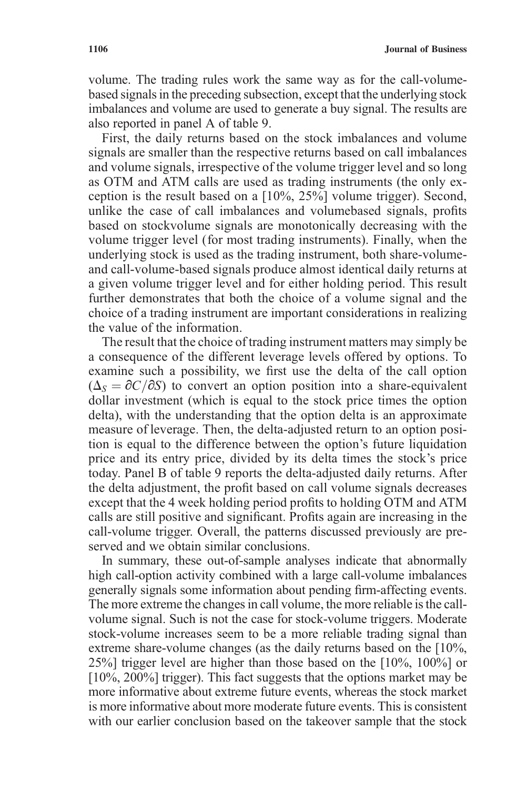1106 Journal of Business

volume. The trading rules work the same way as for the call-volumebased signals in the preceding subsection, except that the underlying stock imbalances and volume are used to generate a buy signal. The results are also reported in panel A of table 9.

First, the daily returns based on the stock imbalances and volume signals are smaller than the respective returns based on call imbalances and volume signals, irrespective of the volume trigger level and so long as OTM and ATM calls are used as trading instruments (the only exception is the result based on a [10%, 25%] volume trigger). Second, unlike the case of call imbalances and volumebased signals, profits based on stockvolume signals are monotonically decreasing with the volume trigger level (for most trading instruments). Finally, when the underlying stock is used as the trading instrument, both share-volumeand call-volume-based signals produce almost identical daily returns at a given volume trigger level and for either holding period. This result further demonstrates that both the choice of a volume signal and the choice of a trading instrument are important considerations in realizing the value of the information.

The result that the choice of trading instrument matters may simply be a consequence of the different leverage levels offered by options. To examine such a possibility, we first use the delta of the call option  $(\Delta_s = \partial C/\partial S)$  to convert an option position into a share-equivalent dollar investment (which is equal to the stock price times the option delta), with the understanding that the option delta is an approximate measure of leverage. Then, the delta-adjusted return to an option position is equal to the difference between the option's future liquidation price and its entry price, divided by its delta times the stock's price today. Panel B of table 9 reports the delta-adjusted daily returns. After the delta adjustment, the profit based on call volume signals decreases except that the 4 week holding period profits to holding OTM and ATM calls are still positive and significant. Profits again are increasing in the call-volume trigger. Overall, the patterns discussed previously are preserved and we obtain similar conclusions.

In summary, these out-of-sample analyses indicate that abnormally high call-option activity combined with a large call-volume imbalances generally signals some information about pending firm-affecting events. The more extreme the changes in call volume, the more reliable is the callvolume signal. Such is not the case for stock-volume triggers. Moderate stock-volume increases seem to be a more reliable trading signal than extreme share-volume changes (as the daily returns based on the [10%, 25%] trigger level are higher than those based on the [10%, 100%] or [10%, 200%] trigger). This fact suggests that the options market may be more informative about extreme future events, whereas the stock market is more informative about more moderate future events. This is consistent with our earlier conclusion based on the takeover sample that the stock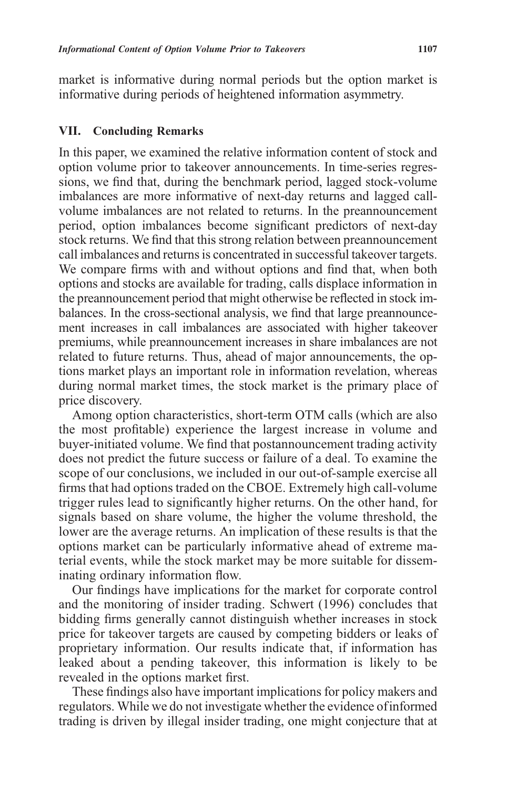market is informative during normal periods but the option market is informative during periods of heightened information asymmetry.

# VII. Concluding Remarks

In this paper, we examined the relative information content of stock and option volume prior to takeover announcements. In time-series regressions, we find that, during the benchmark period, lagged stock-volume imbalances are more informative of next-day returns and lagged callvolume imbalances are not related to returns. In the preannouncement period, option imbalances become significant predictors of next-day stock returns. We find that this strong relation between preannouncement call imbalances and returns is concentrated in successful takeover targets. We compare firms with and without options and find that, when both options and stocks are available for trading, calls displace information in the preannouncement period that might otherwise be reflected in stock imbalances. In the cross-sectional analysis, we find that large preannouncement increases in call imbalances are associated with higher takeover premiums, while preannouncement increases in share imbalances are not related to future returns. Thus, ahead of major announcements, the options market plays an important role in information revelation, whereas during normal market times, the stock market is the primary place of price discovery.

Among option characteristics, short-term OTM calls (which are also the most profitable) experience the largest increase in volume and buyer-initiated volume. We find that postannouncement trading activity does not predict the future success or failure of a deal. To examine the scope of our conclusions, we included in our out-of-sample exercise all firms that had options traded on the CBOE. Extremely high call-volume trigger rules lead to significantly higher returns. On the other hand, for signals based on share volume, the higher the volume threshold, the lower are the average returns. An implication of these results is that the options market can be particularly informative ahead of extreme material events, while the stock market may be more suitable for disseminating ordinary information flow.

Our findings have implications for the market for corporate control and the monitoring of insider trading. Schwert (1996) concludes that bidding firms generally cannot distinguish whether increases in stock price for takeover targets are caused by competing bidders or leaks of proprietary information. Our results indicate that, if information has leaked about a pending takeover, this information is likely to be revealed in the options market first.

These findings also have important implications for policy makers and regulators. While we do not investigate whether the evidence ofinformed trading is driven by illegal insider trading, one might conjecture that at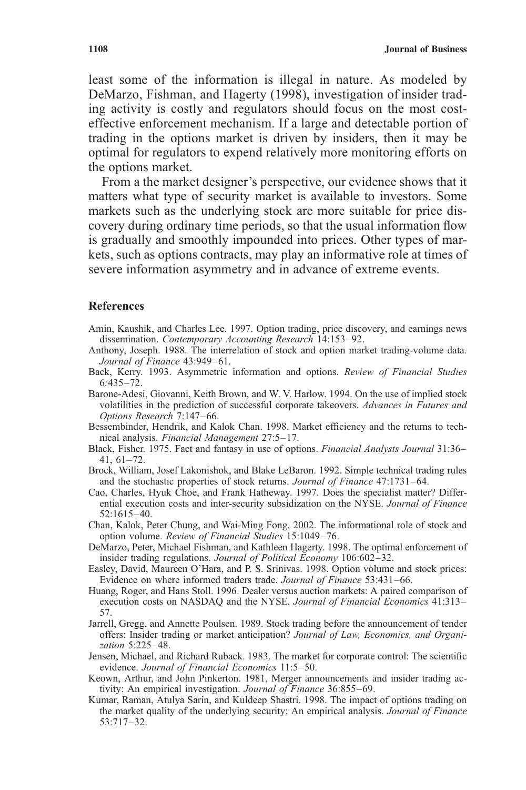least some of the information is illegal in nature. As modeled by DeMarzo, Fishman, and Hagerty (1998), investigation of insider trading activity is costly and regulators should focus on the most costeffective enforcement mechanism. If a large and detectable portion of trading in the options market is driven by insiders, then it may be optimal for regulators to expend relatively more monitoring efforts on the options market.

From a the market designer's perspective, our evidence shows that it matters what type of security market is available to investors. Some markets such as the underlying stock are more suitable for price discovery during ordinary time periods, so that the usual information flow is gradually and smoothly impounded into prices. Other types of markets, such as options contracts, may play an informative role at times of severe information asymmetry and in advance of extreme events.

#### References

- Amin, Kaushik, and Charles Lee. 1997. Option trading, price discovery, and earnings news dissemination. Contemporary Accounting Research 14:153–92.
- Anthony, Joseph. 1988. The interrelation of stock and option market trading-volume data. Journal of Finance 43:949–61.
- Back, Kerry. 1993. Asymmetric information and options. Review of Financial Studies 6:435–72.
- Barone-Adesi, Giovanni, Keith Brown, and W. V. Harlow. 1994. On the use of implied stock volatilities in the prediction of successful corporate takeovers. Advances in Futures and Options Research 7:147–66.
- Bessembinder, Hendrik, and Kalok Chan. 1998. Market efficiency and the returns to technical analysis. Financial Management 27:5–17.
- Black, Fisher. 1975. Fact and fantasy in use of options. Financial Analysts Journal 31:36– 41, 61–72.
- Brock, William, Josef Lakonishok, and Blake LeBaron. 1992. Simple technical trading rules and the stochastic properties of stock returns. Journal of Finance 47:1731–64.
- Cao, Charles, Hyuk Choe, and Frank Hatheway. 1997. Does the specialist matter? Differential execution costs and inter-security subsidization on the NYSE. Journal of Finance 52:1615–40.
- Chan, Kalok, Peter Chung, and Wai-Ming Fong. 2002. The informational role of stock and option volume. Review of Financial Studies 15:1049–76.
- DeMarzo, Peter, Michael Fishman, and Kathleen Hagerty. 1998. The optimal enforcement of insider trading regulations. Journal of Political Economy 106:602–32.
- Easley, David, Maureen O'Hara, and P. S. Srinivas. 1998. Option volume and stock prices: Evidence on where informed traders trade. Journal of Finance 53:431–66.
- Huang, Roger, and Hans Stoll. 1996. Dealer versus auction markets: A paired comparison of execution costs on NASDAQ and the NYSE. Journal of Financial Economics 41:313– 57.
- Jarrell, Gregg, and Annette Poulsen. 1989. Stock trading before the announcement of tender offers: Insider trading or market anticipation? Journal of Law, Economics, and Organization 5:225–48.
- Jensen, Michael, and Richard Ruback. 1983. The market for corporate control: The scientific evidence. Journal of Financial Economics 11:5–50.
- Keown, Arthur, and John Pinkerton. 1981, Merger announcements and insider trading activity: An empirical investigation. Journal of Finance 36:855–69.
- Kumar, Raman, Atulya Sarin, and Kuldeep Shastri. 1998. The impact of options trading on the market quality of the underlying security: An empirical analysis. Journal of Finance 53:717–32.